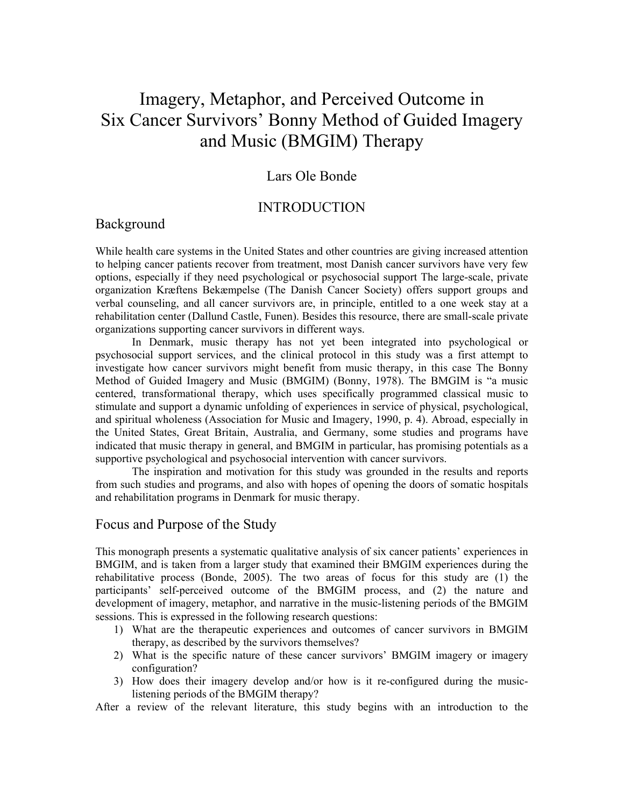# Imagery, Metaphor, and Perceived Outcome in Six Cancer Survivors' Bonny Method of Guided Imagery and Music (BMGIM) Therapy

## Lars Ole Bonde

## INTRODUCTION

## Background

While health care systems in the United States and other countries are giving increased attention to helping cancer patients recover from treatment, most Danish cancer survivors have very few options, especially if they need psychological or psychosocial support The large-scale, private organization Kræftens Bekæmpelse (The Danish Cancer Society) offers support groups and verbal counseling, and all cancer survivors are, in principle, entitled to a one week stay at a rehabilitation center (Dallund Castle, Funen). Besides this resource, there are small-scale private organizations supporting cancer survivors in different ways.

In Denmark, music therapy has not yet been integrated into psychological or psychosocial support services, and the clinical protocol in this study was a first attempt to investigate how cancer survivors might benefit from music therapy, in this case The Bonny Method of Guided Imagery and Music (BMGIM) (Bonny, 1978). The BMGIM is "a music centered, transformational therapy, which uses specifically programmed classical music to stimulate and support a dynamic unfolding of experiences in service of physical, psychological, and spiritual wholeness (Association for Music and Imagery, 1990, p. 4). Abroad, especially in the United States, Great Britain, Australia, and Germany, some studies and programs have indicated that music therapy in general, and BMGIM in particular, has promising potentials as a supportive psychological and psychosocial intervention with cancer survivors.

The inspiration and motivation for this study was grounded in the results and reports from such studies and programs, and also with hopes of opening the doors of somatic hospitals and rehabilitation programs in Denmark for music therapy.

#### Focus and Purpose of the Study

This monograph presents a systematic qualitative analysis of six cancer patients' experiences in BMGIM, and is taken from a larger study that examined their BMGIM experiences during the rehabilitative process (Bonde, 2005). The two areas of focus for this study are (1) the participants' self-perceived outcome of the BMGIM process, and (2) the nature and development of imagery, metaphor, and narrative in the music-listening periods of the BMGIM sessions. This is expressed in the following research questions:

- 1) What are the therapeutic experiences and outcomes of cancer survivors in BMGIM therapy, as described by the survivors themselves?
- 2) What is the specific nature of these cancer survivors' BMGIM imagery or imagery configuration?
- 3) How does their imagery develop and/or how is it re-configured during the musiclistening periods of the BMGIM therapy?

After a review of the relevant literature, this study begins with an introduction to the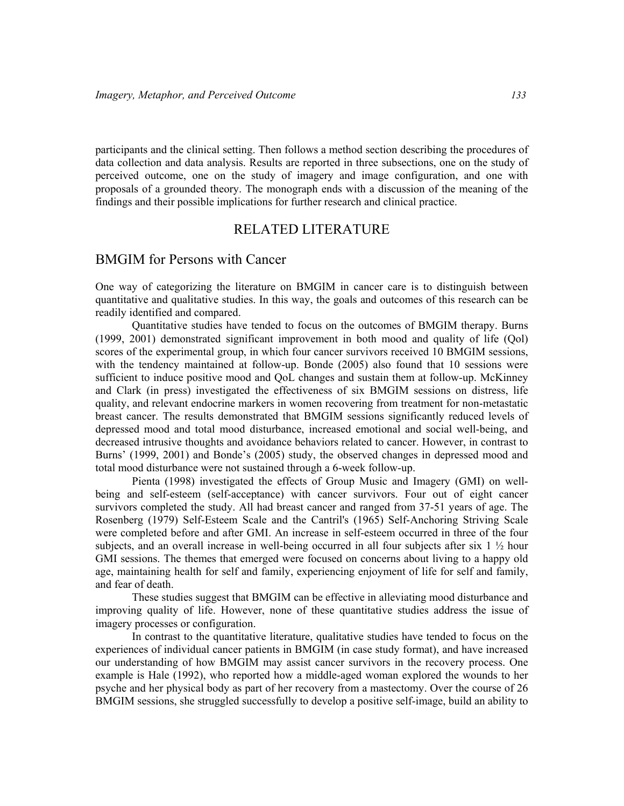participants and the clinical setting. Then follows a method section describing the procedures of data collection and data analysis. Results are reported in three subsections, one on the study of perceived outcome, one on the study of imagery and image configuration, and one with proposals of a grounded theory. The monograph ends with a discussion of the meaning of the findings and their possible implications for further research and clinical practice.

## RELATED LITERATURE

## BMGIM for Persons with Cancer

One way of categorizing the literature on BMGIM in cancer care is to distinguish between quantitative and qualitative studies. In this way, the goals and outcomes of this research can be readily identified and compared.

Quantitative studies have tended to focus on the outcomes of BMGIM therapy. Burns (1999, 2001) demonstrated significant improvement in both mood and quality of life (Qol) scores of the experimental group, in which four cancer survivors received 10 BMGIM sessions, with the tendency maintained at follow-up. Bonde (2005) also found that 10 sessions were sufficient to induce positive mood and QoL changes and sustain them at follow-up. McKinney and Clark (in press) investigated the effectiveness of six BMGIM sessions on distress, life quality, and relevant endocrine markers in women recovering from treatment for non-metastatic breast cancer. The results demonstrated that BMGIM sessions significantly reduced levels of depressed mood and total mood disturbance, increased emotional and social well-being, and decreased intrusive thoughts and avoidance behaviors related to cancer. However, in contrast to Burns' (1999, 2001) and Bonde's (2005) study, the observed changes in depressed mood and total mood disturbance were not sustained through a 6-week follow-up.

Pienta (1998) investigated the effects of Group Music and Imagery (GMI) on wellbeing and self-esteem (self-acceptance) with cancer survivors. Four out of eight cancer survivors completed the study. All had breast cancer and ranged from 37-51 years of age. The Rosenberg (1979) Self-Esteem Scale and the Cantril's (1965) Self-Anchoring Striving Scale were completed before and after GMI. An increase in self-esteem occurred in three of the four subjects, and an overall increase in well-being occurred in all four subjects after six  $1 \frac{1}{2}$  hour GMI sessions. The themes that emerged were focused on concerns about living to a happy old age, maintaining health for self and family, experiencing enjoyment of life for self and family, and fear of death.

These studies suggest that BMGIM can be effective in alleviating mood disturbance and improving quality of life. However, none of these quantitative studies address the issue of imagery processes or configuration.

In contrast to the quantitative literature, qualitative studies have tended to focus on the experiences of individual cancer patients in BMGIM (in case study format), and have increased our understanding of how BMGIM may assist cancer survivors in the recovery process. One example is Hale (1992), who reported how a middle-aged woman explored the wounds to her psyche and her physical body as part of her recovery from a mastectomy. Over the course of 26 BMGIM sessions, she struggled successfully to develop a positive self-image, build an ability to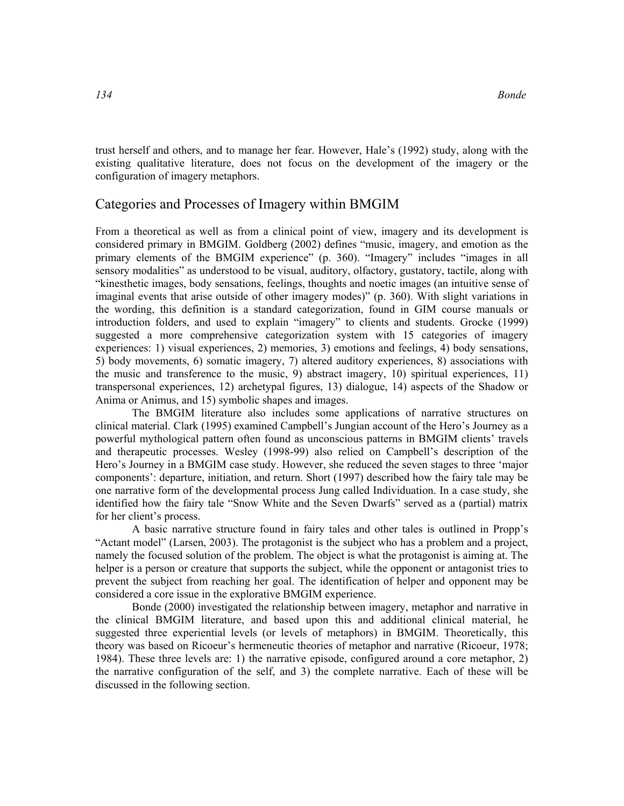trust herself and others, and to manage her fear. However, Hale's (1992) study, along with the existing qualitative literature, does not focus on the development of the imagery or the configuration of imagery metaphors.

## Categories and Processes of Imagery within BMGIM

From a theoretical as well as from a clinical point of view, imagery and its development is considered primary in BMGIM. Goldberg (2002) defines "music, imagery, and emotion as the primary elements of the BMGIM experience" (p. 360). "Imagery" includes "images in all sensory modalities" as understood to be visual, auditory, olfactory, gustatory, tactile, along with "kinesthetic images, body sensations, feelings, thoughts and noetic images (an intuitive sense of imaginal events that arise outside of other imagery modes)" (p. 360). With slight variations in the wording, this definition is a standard categorization, found in GIM course manuals or introduction folders, and used to explain "imagery" to clients and students. Grocke (1999) suggested a more comprehensive categorization system with 15 categories of imagery experiences: 1) visual experiences, 2) memories, 3) emotions and feelings, 4) body sensations, 5) body movements, 6) somatic imagery, 7) altered auditory experiences, 8) associations with the music and transference to the music, 9) abstract imagery, 10) spiritual experiences, 11) transpersonal experiences, 12) archetypal figures, 13) dialogue, 14) aspects of the Shadow or Anima or Animus, and 15) symbolic shapes and images.

The BMGIM literature also includes some applications of narrative structures on clinical material. Clark (1995) examined Campbell's Jungian account of the Hero's Journey as a powerful mythological pattern often found as unconscious patterns in BMGIM clients' travels and therapeutic processes. Wesley (1998-99) also relied on Campbell's description of the Hero's Journey in a BMGIM case study. However, she reduced the seven stages to three 'major components': departure, initiation, and return. Short (1997) described how the fairy tale may be one narrative form of the developmental process Jung called Individuation. In a case study, she identified how the fairy tale "Snow White and the Seven Dwarfs" served as a (partial) matrix for her client's process.

A basic narrative structure found in fairy tales and other tales is outlined in Propp's "Actant model" (Larsen, 2003). The protagonist is the subject who has a problem and a project, namely the focused solution of the problem. The object is what the protagonist is aiming at. The helper is a person or creature that supports the subject, while the opponent or antagonist tries to prevent the subject from reaching her goal. The identification of helper and opponent may be considered a core issue in the explorative BMGIM experience.

Bonde (2000) investigated the relationship between imagery, metaphor and narrative in the clinical BMGIM literature, and based upon this and additional clinical material, he suggested three experiential levels (or levels of metaphors) in BMGIM. Theoretically, this theory was based on Ricoeur's hermeneutic theories of metaphor and narrative (Ricoeur, 1978; 1984). These three levels are: 1) the narrative episode, configured around a core metaphor, 2) the narrative configuration of the self, and 3) the complete narrative. Each of these will be discussed in the following section.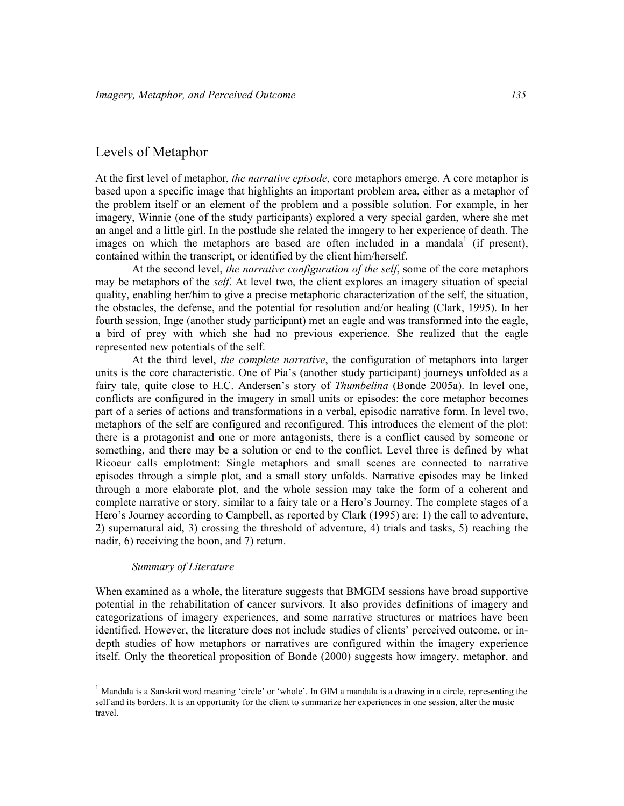## Levels of Metaphor

At the first level of metaphor, the narrative episode, core metaphors emerge. A core metaphor is based upon a specific image that highlights an important problem area, either as a metaphor of the problem itself or an element of the problem and a possible solution. For example, in her imagery, Winnie (one of the study participants) explored a very special garden, where she met an angel and a little girl. In the postlude she related the imagery to her experience of death. The images on which the metaphors are based are often included in a mandala<sup>1</sup> (if present), contained within the transcript, or identified by the client him/herself.

At the second level, *the narrative configuration of the self*, some of the core metaphors may be metaphors of the *self.* At level two, the client explores an imagery situation of special quality, enabling her/him to give a precise metaphoric characterization of the self, the situation, the obstacles, the defense, and the potential for resolution and/or healing (Clark, 1995). In her fourth session, Inge (another study participant) met an eagle and was transformed into the eagle, a bird of prey with which she had no previous experience. She realized that the eagle represented new potentials of the self.

At the third level, *the complete narrative*, the configuration of metaphors into larger units is the core characteristic. One of Pia's (another study participant) journeys unfolded as a fairy tale, quite close to H.C. Andersen's story of *Thumbelina* (Bonde 2005a). In level one, conflicts are configured in the imagery in small units or episodes: the core metaphor becomes part of a series of actions and transformations in a verbal, episodic narrative form. In level two, metaphors of the self are configured and reconfigured. This introduces the element of the plot: there is a protagonist and one or more antagonists, there is a conflict caused by someone or something, and there may be a solution or end to the conflict. Level three is defined by what Ricoeur calls emplotment: Single metaphors and small scenes are connected to narrative episodes through a simple plot, and a small story unfolds. Narrative episodes may be linked through a more elaborate plot, and the whole session may take the form of a coherent and complete narrative or story, similar to a fairy tale or a Hero's Journey. The complete stages of a Hero's Journey according to Campbell, as reported by Clark (1995) are: 1) the call to adventure, 2) supernatural aid, 3) crossing the threshold of adventure, 4) trials and tasks, 5) reaching the nadir, 6) receiving the boon, and 7) return.

#### Summary of Literature

-

When examined as a whole, the literature suggests that BMGIM sessions have broad supportive potential in the rehabilitation of cancer survivors. It also provides definitions of imagery and categorizations of imagery experiences, and some narrative structures or matrices have been identified. However, the literature does not include studies of clients' perceived outcome, or indepth studies of how metaphors or narratives are configured within the imagery experience itself. Only the theoretical proposition of Bonde (2000) suggests how imagery, metaphor, and

<sup>&</sup>lt;sup>1</sup> Mandala is a Sanskrit word meaning 'circle' or 'whole'. In GIM a mandala is a drawing in a circle, representing the self and its borders. It is an opportunity for the client to summarize her experiences in one session, after the music travel.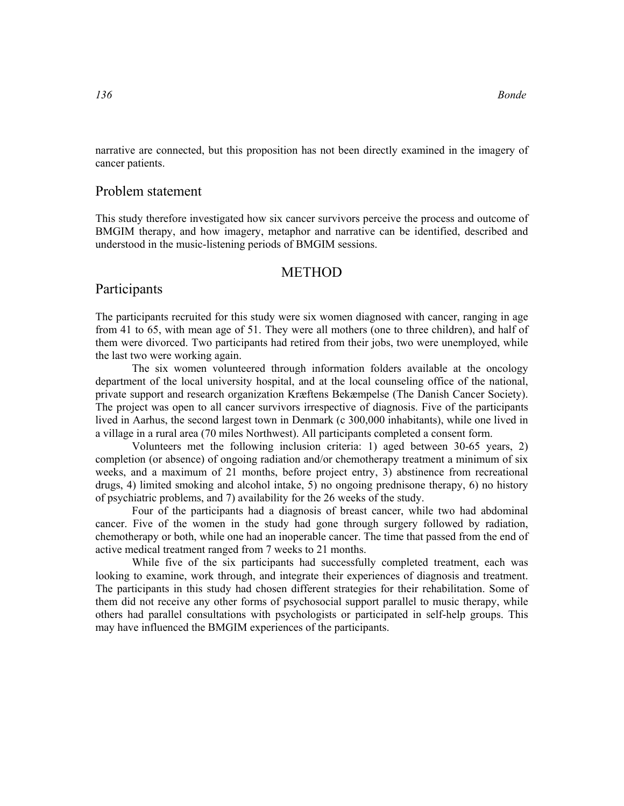narrative are connected, but this proposition has not been directly examined in the imagery of cancer patients.

#### Problem statement

This study therefore investigated how six cancer survivors perceive the process and outcome of BMGIM therapy, and how imagery, metaphor and narrative can be identified, described and understood in the music-listening periods of BMGIM sessions.

#### METHOD

#### Participants

The participants recruited for this study were six women diagnosed with cancer, ranging in age from 41 to 65, with mean age of 51. They were all mothers (one to three children), and half of them were divorced. Two participants had retired from their jobs, two were unemployed, while the last two were working again.

The six women volunteered through information folders available at the oncology department of the local university hospital, and at the local counseling office of the national, private support and research organization Kræftens Bekæmpelse (The Danish Cancer Society). The project was open to all cancer survivors irrespective of diagnosis. Five of the participants lived in Aarhus, the second largest town in Denmark (c 300,000 inhabitants), while one lived in a village in a rural area (70 miles Northwest). All participants completed a consent form.

 Volunteers met the following inclusion criteria: 1) aged between 30-65 years, 2) completion (or absence) of ongoing radiation and/or chemotherapy treatment a minimum of six weeks, and a maximum of 21 months, before project entry, 3) abstinence from recreational drugs, 4) limited smoking and alcohol intake, 5) no ongoing prednisone therapy, 6) no history of psychiatric problems, and 7) availability for the 26 weeks of the study.

Four of the participants had a diagnosis of breast cancer, while two had abdominal cancer. Five of the women in the study had gone through surgery followed by radiation, chemotherapy or both, while one had an inoperable cancer. The time that passed from the end of active medical treatment ranged from 7 weeks to 21 months.

While five of the six participants had successfully completed treatment, each was looking to examine, work through, and integrate their experiences of diagnosis and treatment. The participants in this study had chosen different strategies for their rehabilitation. Some of them did not receive any other forms of psychosocial support parallel to music therapy, while others had parallel consultations with psychologists or participated in self-help groups. This may have influenced the BMGIM experiences of the participants.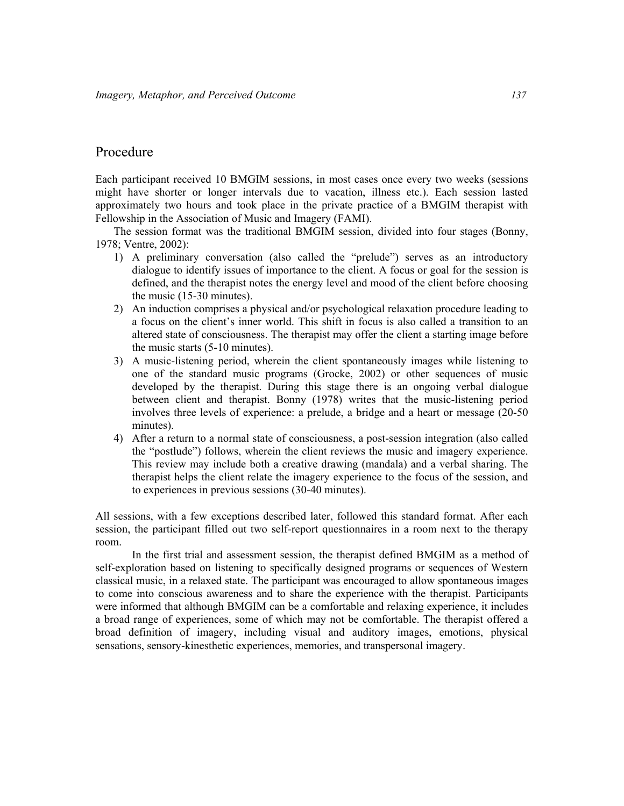## Procedure

Each participant received 10 BMGIM sessions, in most cases once every two weeks (sessions might have shorter or longer intervals due to vacation, illness etc.). Each session lasted approximately two hours and took place in the private practice of a BMGIM therapist with Fellowship in the Association of Music and Imagery (FAMI).

The session format was the traditional BMGIM session, divided into four stages (Bonny, 1978; Ventre, 2002):

- 1) A preliminary conversation (also called the "prelude") serves as an introductory dialogue to identify issues of importance to the client. A focus or goal for the session is defined, and the therapist notes the energy level and mood of the client before choosing the music (15-30 minutes).
- 2) An induction comprises a physical and/or psychological relaxation procedure leading to a focus on the client's inner world. This shift in focus is also called a transition to an altered state of consciousness. The therapist may offer the client a starting image before the music starts (5-10 minutes).
- 3) A music-listening period, wherein the client spontaneously images while listening to one of the standard music programs (Grocke, 2002) or other sequences of music developed by the therapist. During this stage there is an ongoing verbal dialogue between client and therapist. Bonny (1978) writes that the music-listening period involves three levels of experience: a prelude, a bridge and a heart or message (20-50 minutes).
- 4) After a return to a normal state of consciousness, a post-session integration (also called the "postlude") follows, wherein the client reviews the music and imagery experience. This review may include both a creative drawing (mandala) and a verbal sharing. The therapist helps the client relate the imagery experience to the focus of the session, and to experiences in previous sessions (30-40 minutes).

All sessions, with a few exceptions described later, followed this standard format. After each session, the participant filled out two self-report questionnaires in a room next to the therapy room.

In the first trial and assessment session, the therapist defined BMGIM as a method of self-exploration based on listening to specifically designed programs or sequences of Western classical music, in a relaxed state. The participant was encouraged to allow spontaneous images to come into conscious awareness and to share the experience with the therapist. Participants were informed that although BMGIM can be a comfortable and relaxing experience, it includes a broad range of experiences, some of which may not be comfortable. The therapist offered a broad definition of imagery, including visual and auditory images, emotions, physical sensations, sensory-kinesthetic experiences, memories, and transpersonal imagery.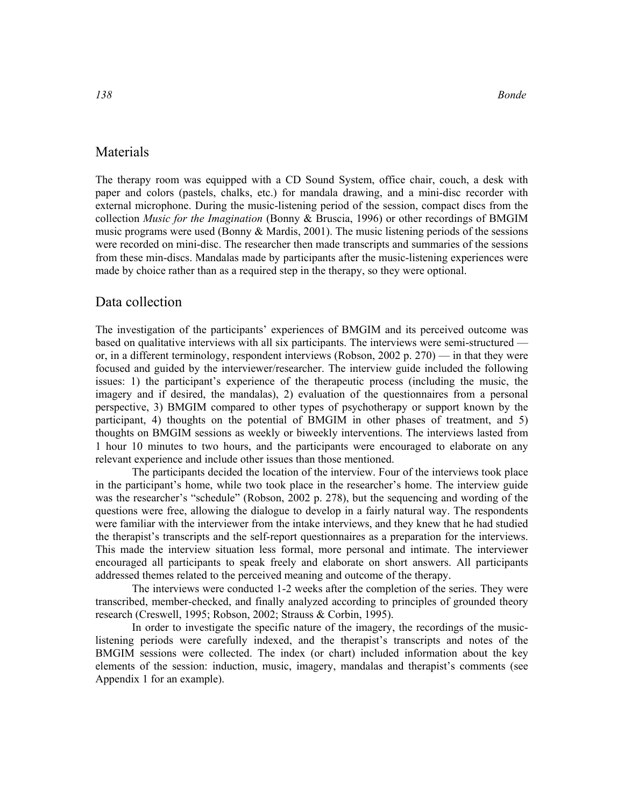## Materials

The therapy room was equipped with a CD Sound System, office chair, couch, a desk with paper and colors (pastels, chalks, etc.) for mandala drawing, and a mini-disc recorder with external microphone. During the music-listening period of the session, compact discs from the collection *Music for the Imagination* (Bonny & Bruscia, 1996) or other recordings of BMGIM music programs were used (Bonny & Mardis, 2001). The music listening periods of the sessions were recorded on mini-disc. The researcher then made transcripts and summaries of the sessions from these min-discs. Mandalas made by participants after the music-listening experiences were made by choice rather than as a required step in the therapy, so they were optional.

### Data collection

The investigation of the participants' experiences of BMGIM and its perceived outcome was based on qualitative interviews with all six participants. The interviews were semi-structured or, in a different terminology, respondent interviews (Robson, 2002 p. 270) — in that they were focused and guided by the interviewer/researcher. The interview guide included the following issues: 1) the participant's experience of the therapeutic process (including the music, the imagery and if desired, the mandalas), 2) evaluation of the questionnaires from a personal perspective, 3) BMGIM compared to other types of psychotherapy or support known by the participant, 4) thoughts on the potential of BMGIM in other phases of treatment, and 5) thoughts on BMGIM sessions as weekly or biweekly interventions. The interviews lasted from 1 hour 10 minutes to two hours, and the participants were encouraged to elaborate on any relevant experience and include other issues than those mentioned.

The participants decided the location of the interview. Four of the interviews took place in the participant's home, while two took place in the researcher's home. The interview guide was the researcher's "schedule" (Robson, 2002 p. 278), but the sequencing and wording of the questions were free, allowing the dialogue to develop in a fairly natural way. The respondents were familiar with the interviewer from the intake interviews, and they knew that he had studied the therapist's transcripts and the self-report questionnaires as a preparation for the interviews. This made the interview situation less formal, more personal and intimate. The interviewer encouraged all participants to speak freely and elaborate on short answers. All participants addressed themes related to the perceived meaning and outcome of the therapy.

The interviews were conducted 1-2 weeks after the completion of the series. They were transcribed, member-checked, and finally analyzed according to principles of grounded theory research (Creswell, 1995; Robson, 2002; Strauss & Corbin, 1995).

In order to investigate the specific nature of the imagery, the recordings of the musiclistening periods were carefully indexed, and the therapist's transcripts and notes of the BMGIM sessions were collected. The index (or chart) included information about the key elements of the session: induction, music, imagery, mandalas and therapist's comments (see Appendix 1 for an example).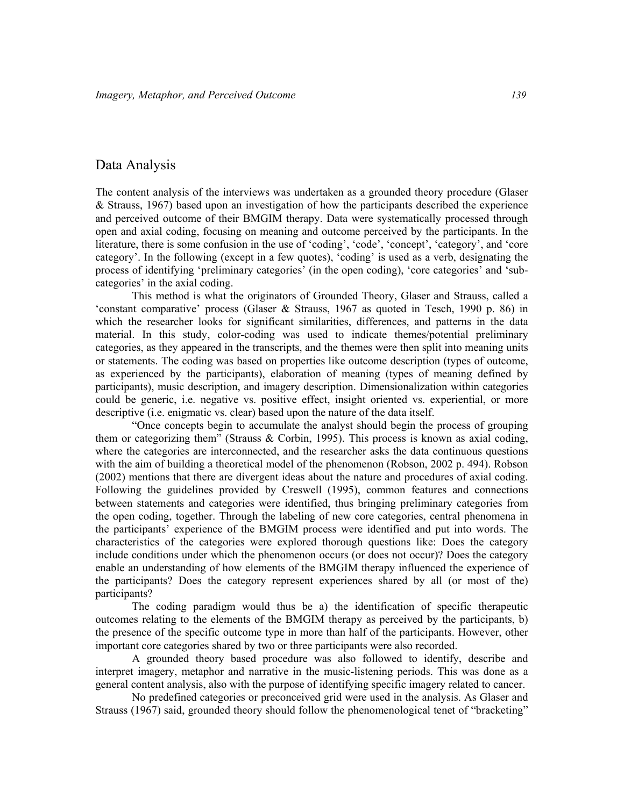## Data Analysis

The content analysis of the interviews was undertaken as a grounded theory procedure (Glaser & Strauss, 1967) based upon an investigation of how the participants described the experience and perceived outcome of their BMGIM therapy. Data were systematically processed through open and axial coding, focusing on meaning and outcome perceived by the participants. In the literature, there is some confusion in the use of 'coding', 'code', 'concept', 'category', and 'core category'. In the following (except in a few quotes), 'coding' is used as a verb, designating the process of identifying 'preliminary categories' (in the open coding), 'core categories' and 'subcategories' in the axial coding.

This method is what the originators of Grounded Theory, Glaser and Strauss, called a 'constant comparative' process (Glaser & Strauss, 1967 as quoted in Tesch, 1990 p. 86) in which the researcher looks for significant similarities, differences, and patterns in the data material. In this study, color-coding was used to indicate themes/potential preliminary categories, as they appeared in the transcripts, and the themes were then split into meaning units or statements. The coding was based on properties like outcome description (types of outcome, as experienced by the participants), elaboration of meaning (types of meaning defined by participants), music description, and imagery description. Dimensionalization within categories could be generic, i.e. negative vs. positive effect, insight oriented vs. experiential, or more descriptive (i.e. enigmatic vs. clear) based upon the nature of the data itself.

"Once concepts begin to accumulate the analyst should begin the process of grouping them or categorizing them" (Strauss & Corbin, 1995). This process is known as axial coding, where the categories are interconnected, and the researcher asks the data continuous questions with the aim of building a theoretical model of the phenomenon (Robson, 2002 p. 494). Robson (2002) mentions that there are divergent ideas about the nature and procedures of axial coding. Following the guidelines provided by Creswell (1995), common features and connections between statements and categories were identified, thus bringing preliminary categories from the open coding, together. Through the labeling of new core categories, central phenomena in the participants' experience of the BMGIM process were identified and put into words. The characteristics of the categories were explored thorough questions like: Does the category include conditions under which the phenomenon occurs (or does not occur)? Does the category enable an understanding of how elements of the BMGIM therapy influenced the experience of the participants? Does the category represent experiences shared by all (or most of the) participants?

The coding paradigm would thus be a) the identification of specific therapeutic outcomes relating to the elements of the BMGIM therapy as perceived by the participants, b) the presence of the specific outcome type in more than half of the participants. However, other important core categories shared by two or three participants were also recorded.

A grounded theory based procedure was also followed to identify, describe and interpret imagery, metaphor and narrative in the music-listening periods. This was done as a general content analysis, also with the purpose of identifying specific imagery related to cancer.

No predefined categories or preconceived grid were used in the analysis. As Glaser and Strauss (1967) said, grounded theory should follow the phenomenological tenet of "bracketing"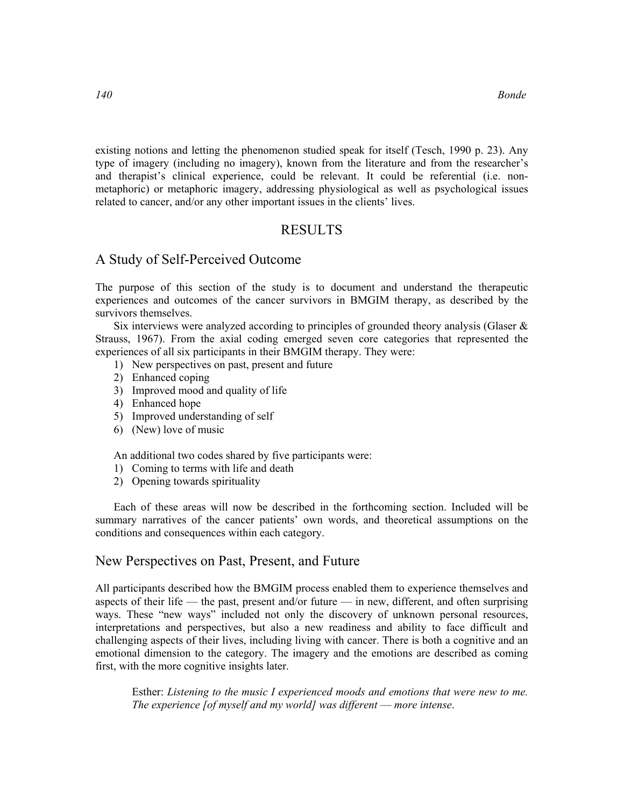existing notions and letting the phenomenon studied speak for itself (Tesch, 1990 p. 23). Any type of imagery (including no imagery), known from the literature and from the researcher's and therapist's clinical experience, could be relevant. It could be referential (i.e. nonmetaphoric) or metaphoric imagery, addressing physiological as well as psychological issues related to cancer, and/or any other important issues in the clients' lives.

## RESULTS

### A Study of Self-Perceived Outcome

The purpose of this section of the study is to document and understand the therapeutic experiences and outcomes of the cancer survivors in BMGIM therapy, as described by the survivors themselves.

Six interviews were analyzed according to principles of grounded theory analysis (Glaser  $\&$ Strauss, 1967). From the axial coding emerged seven core categories that represented the experiences of all six participants in their BMGIM therapy. They were:

- 1) New perspectives on past, present and future
- 2) Enhanced coping
- 3) Improved mood and quality of life
- 4) Enhanced hope
- 5) Improved understanding of self
- 6) (New) love of music

An additional two codes shared by five participants were:

- 1) Coming to terms with life and death
- 2) Opening towards spirituality

Each of these areas will now be described in the forthcoming section. Included will be summary narratives of the cancer patients' own words, and theoretical assumptions on the conditions and consequences within each category.

### New Perspectives on Past, Present, and Future

All participants described how the BMGIM process enabled them to experience themselves and aspects of their life — the past, present and/or future — in new, different, and often surprising ways. These "new ways" included not only the discovery of unknown personal resources, interpretations and perspectives, but also a new readiness and ability to face difficult and challenging aspects of their lives, including living with cancer. There is both a cognitive and an emotional dimension to the category. The imagery and the emotions are described as coming first, with the more cognitive insights later.

Esther: Listening to the music I experienced moods and emotions that were new to me. The experience [of myself and my world] was different — more intense.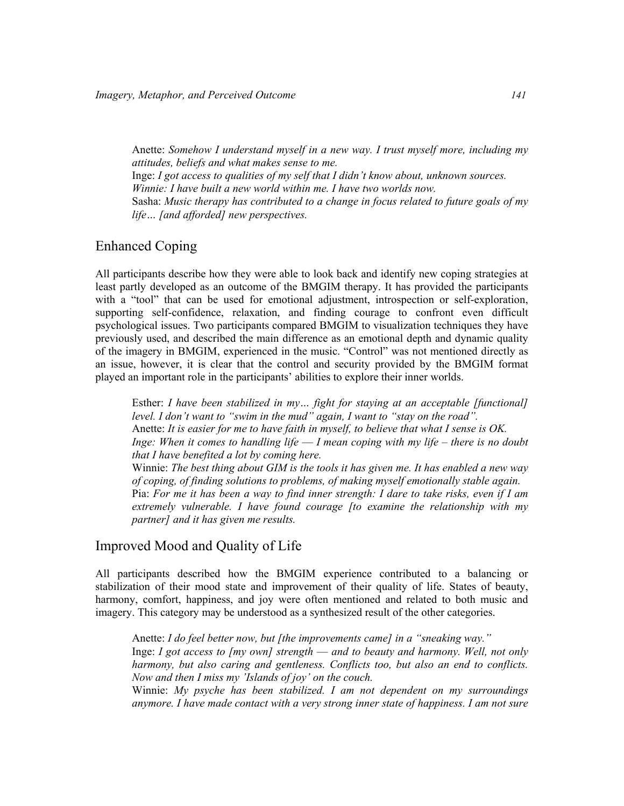Anette: Somehow I understand myself in a new way. I trust myself more, including my attitudes, beliefs and what makes sense to me. Inge: I got access to qualities of my self that I didn't know about, unknown sources. Winnie: I have built a new world within me. I have two worlds now. Sasha: Music therapy has contributed to a change in focus related to future goals of my life... [and afforded] new perspectives.

## Enhanced Coping

All participants describe how they were able to look back and identify new coping strategies at least partly developed as an outcome of the BMGIM therapy. It has provided the participants with a "tool" that can be used for emotional adjustment, introspection or self-exploration, supporting self-confidence, relaxation, and finding courage to confront even difficult psychological issues. Two participants compared BMGIM to visualization techniques they have previously used, and described the main difference as an emotional depth and dynamic quality of the imagery in BMGIM, experienced in the music. "Control" was not mentioned directly as an issue, however, it is clear that the control and security provided by the BMGIM format played an important role in the participants' abilities to explore their inner worlds.

Esther: I have been stabilized in my… fight for staying at an acceptable [functional] level. I don't want to "swim in the mud" again, I want to "stay on the road". Anette: It is easier for me to have faith in myself, to believe that what I sense is OK. Inge: When it comes to handling life  $-1$  mean coping with my life – there is no doubt that I have benefited a lot by coming here. Winnie: The best thing about GIM is the tools it has given me. It has enabled a new way of coping, of finding solutions to problems, of making myself emotionally stable again. Pia: For me it has been a way to find inner strength: I dare to take risks, even if I am extremely vulnerable. I have found courage [to examine the relationship with my partner] and it has given me results.

## Improved Mood and Quality of Life

All participants described how the BMGIM experience contributed to a balancing or stabilization of their mood state and improvement of their quality of life. States of beauty, harmony, comfort, happiness, and joy were often mentioned and related to both music and imagery. This category may be understood as a synthesized result of the other categories.

Anette: I do feel better now, but [the improvements came] in a "sneaking way." Inge: I got access to  $[mv]$  own] strength — and to beauty and harmony. Well, not only harmony, but also caring and gentleness. Conflicts too, but also an end to conflicts. Now and then I miss my 'Islands of joy' on the couch.

Winnie: My psyche has been stabilized. I am not dependent on my surroundings anymore. I have made contact with a very strong inner state of happiness. I am not sure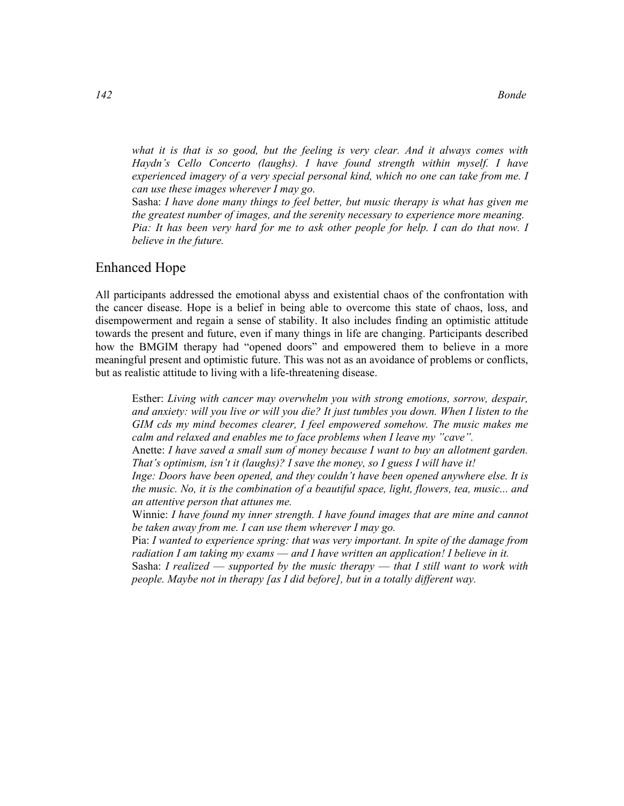what it is that is so good, but the feeling is very clear. And it always comes with Haydn's Cello Concerto (laughs). I have found strength within myself. I have experienced imagery of a very special personal kind, which no one can take from me. I can use these images wherever I may go.

Sasha: I have done many things to feel better, but music therapy is what has given me the greatest number of images, and the serenity necessary to experience more meaning. Pia: It has been very hard for me to ask other people for help. I can do that now. I believe in the future.

## Enhanced Hope

All participants addressed the emotional abyss and existential chaos of the confrontation with the cancer disease. Hope is a belief in being able to overcome this state of chaos, loss, and disempowerment and regain a sense of stability. It also includes finding an optimistic attitude towards the present and future, even if many things in life are changing. Participants described how the BMGIM therapy had "opened doors" and empowered them to believe in a more meaningful present and optimistic future. This was not as an avoidance of problems or conflicts, but as realistic attitude to living with a life-threatening disease.

Esther: Living with cancer may overwhelm you with strong emotions, sorrow, despair, and anxiety: will you live or will you die? It just tumbles you down. When I listen to the GIM cds my mind becomes clearer, I feel empowered somehow. The music makes me calm and relaxed and enables me to face problems when I leave my "cave".

Anette: I have saved a small sum of money because I want to buy an allotment garden. That's optimism, isn't it (laughs)? I save the money, so I guess I will have it!

Inge: Doors have been opened, and they couldn't have been opened anywhere else. It is the music. No, it is the combination of a beautiful space, light, flowers, tea, music... and an attentive person that attunes me.

Winnie: I have found my inner strength. I have found images that are mine and cannot be taken away from me. I can use them wherever I may go.

Pia: I wanted to experience spring: that was very important. In spite of the damage from radiation I am taking my exams — and I have written an application! I believe in it.

Sasha: I realized — supported by the music therapy — that I still want to work with people. Maybe not in therapy [as I did before], but in a totally different way.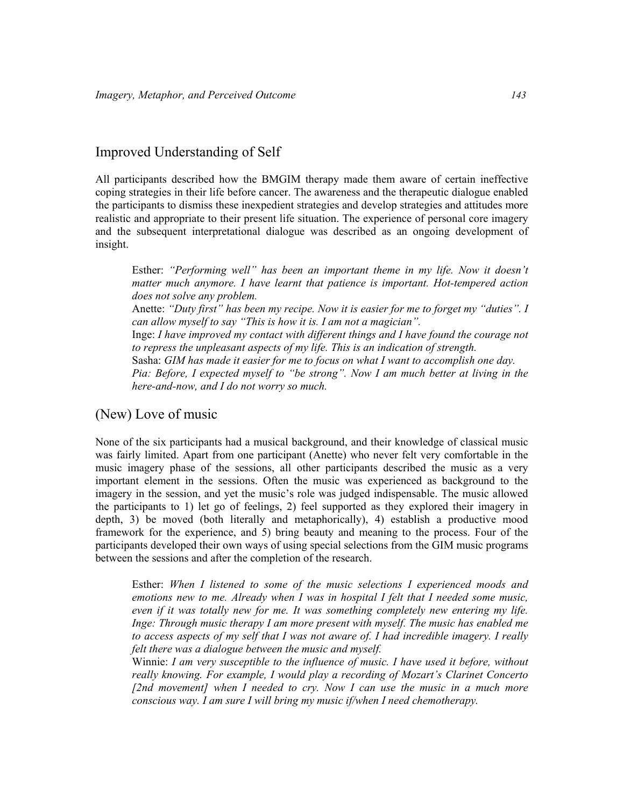## Improved Understanding of Self

All participants described how the BMGIM therapy made them aware of certain ineffective coping strategies in their life before cancer. The awareness and the therapeutic dialogue enabled the participants to dismiss these inexpedient strategies and develop strategies and attitudes more realistic and appropriate to their present life situation. The experience of personal core imagery and the subsequent interpretational dialogue was described as an ongoing development of insight.

Esther: "Performing well" has been an important theme in my life. Now it doesn't matter much anymore. I have learnt that patience is important. Hot-tempered action does not solve any problem. Anette: "Duty first" has been my recipe. Now it is easier for me to forget my "duties". I can allow myself to say "This is how it is. I am not a magician". Inge: I have improved my contact with different things and I have found the courage not to repress the unpleasant aspects of my life. This is an indication of strength. Sasha: GIM has made it easier for me to focus on what I want to accomplish one day. Pia: Before, I expected myself to "be strong". Now I am much better at living in the here-and-now, and I do not worry so much.

## (New) Love of music

None of the six participants had a musical background, and their knowledge of classical music was fairly limited. Apart from one participant (Anette) who never felt very comfortable in the music imagery phase of the sessions, all other participants described the music as a very important element in the sessions. Often the music was experienced as background to the imagery in the session, and yet the music's role was judged indispensable. The music allowed the participants to 1) let go of feelings, 2) feel supported as they explored their imagery in depth, 3) be moved (both literally and metaphorically), 4) establish a productive mood framework for the experience, and 5) bring beauty and meaning to the process. Four of the participants developed their own ways of using special selections from the GIM music programs between the sessions and after the completion of the research.

Esther: When I listened to some of the music selections I experienced moods and emotions new to me. Already when I was in hospital I felt that I needed some music, even if it was totally new for me. It was something completely new entering my life. Inge: Through music therapy I am more present with myself. The music has enabled me to access aspects of my self that I was not aware of. I had incredible imagery. I really felt there was a dialogue between the music and myself.

Winnie: I am very susceptible to the influence of music. I have used it before, without really knowing. For example, I would play a recording of Mozart's Clarinet Concerto [2nd movement] when I needed to cry. Now I can use the music in a much more conscious way. I am sure I will bring my music if/when I need chemotherapy.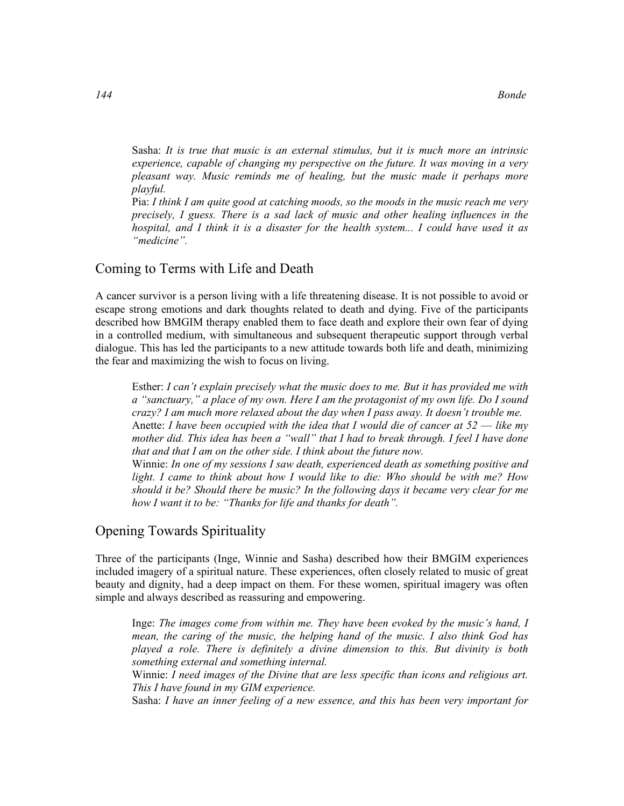Sasha: It is true that music is an external stimulus, but it is much more an intrinsic experience, capable of changing my perspective on the future. It was moving in a very pleasant way. Music reminds me of healing, but the music made it perhaps more playful.

Pia: I think I am quite good at catching moods, so the moods in the music reach me very precisely, I guess. There is a sad lack of music and other healing influences in the hospital, and I think it is a disaster for the health system... I could have used it as "medicine".

## Coming to Terms with Life and Death

A cancer survivor is a person living with a life threatening disease. It is not possible to avoid or escape strong emotions and dark thoughts related to death and dying. Five of the participants described how BMGIM therapy enabled them to face death and explore their own fear of dying in a controlled medium, with simultaneous and subsequent therapeutic support through verbal dialogue. This has led the participants to a new attitude towards both life and death, minimizing the fear and maximizing the wish to focus on living.

Esther: I can't explain precisely what the music does to me. But it has provided me with a "sanctuary," a place of my own. Here I am the protagonist of my own life. Do I sound crazy? I am much more relaxed about the day when I pass away. It doesn't trouble me. Anette: I have been occupied with the idea that I would die of cancer at  $52$  — like my mother did. This idea has been a "wall" that I had to break through. I feel I have done that and that I am on the other side. I think about the future now.

Winnie: In one of my sessions I saw death, experienced death as something positive and light. I came to think about how I would like to die: Who should be with me? How should it be? Should there be music? In the following days it became very clear for me how I want it to be: "Thanks for life and thanks for death".

## Opening Towards Spirituality

Three of the participants (Inge, Winnie and Sasha) described how their BMGIM experiences included imagery of a spiritual nature. These experiences, often closely related to music of great beauty and dignity, had a deep impact on them. For these women, spiritual imagery was often simple and always described as reassuring and empowering.

Inge: The images come from within me. They have been evoked by the music's hand, I mean, the caring of the music, the helping hand of the music. I also think God has played a role. There is definitely a divine dimension to this. But divinity is both something external and something internal.

Winnie: I need images of the Divine that are less specific than icons and religious art. This I have found in my GIM experience.

Sasha: I have an inner feeling of a new essence, and this has been very important for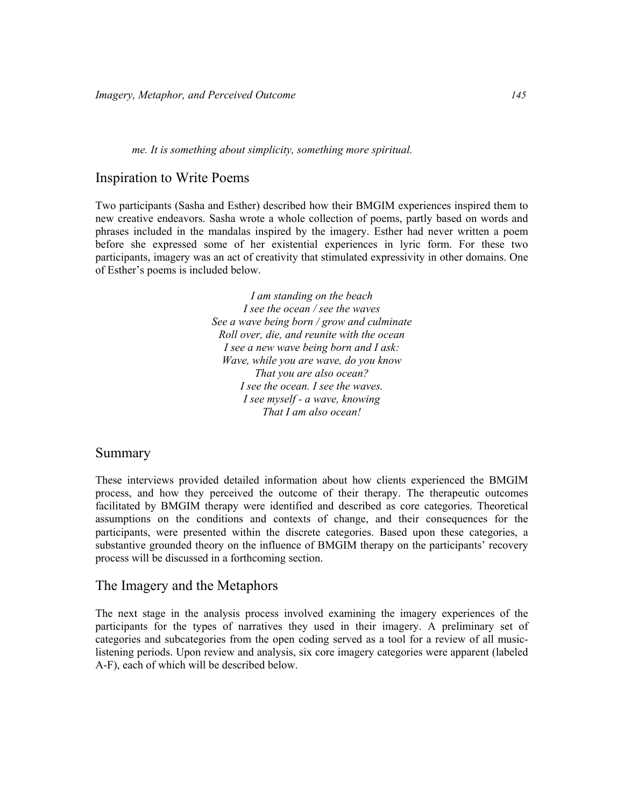#### me. It is something about simplicity, something more spiritual.

#### Inspiration to Write Poems

Two participants (Sasha and Esther) described how their BMGIM experiences inspired them to new creative endeavors. Sasha wrote a whole collection of poems, partly based on words and phrases included in the mandalas inspired by the imagery. Esther had never written a poem before she expressed some of her existential experiences in lyric form. For these two participants, imagery was an act of creativity that stimulated expressivity in other domains. One of Esther's poems is included below.

> I am standing on the beach I see the ocean / see the waves See a wave being born / grow and culminate Roll over, die, and reunite with the ocean I see a new wave being born and I ask: Wave, while you are wave, do you know That you are also ocean? I see the ocean. I see the waves. I see myself - a wave, knowing That I am also ocean!

## Summary

These interviews provided detailed information about how clients experienced the BMGIM process, and how they perceived the outcome of their therapy. The therapeutic outcomes facilitated by BMGIM therapy were identified and described as core categories. Theoretical assumptions on the conditions and contexts of change, and their consequences for the participants, were presented within the discrete categories. Based upon these categories, a substantive grounded theory on the influence of BMGIM therapy on the participants' recovery process will be discussed in a forthcoming section.

#### The Imagery and the Metaphors

The next stage in the analysis process involved examining the imagery experiences of the participants for the types of narratives they used in their imagery. A preliminary set of categories and subcategories from the open coding served as a tool for a review of all musiclistening periods. Upon review and analysis, six core imagery categories were apparent (labeled A-F), each of which will be described below.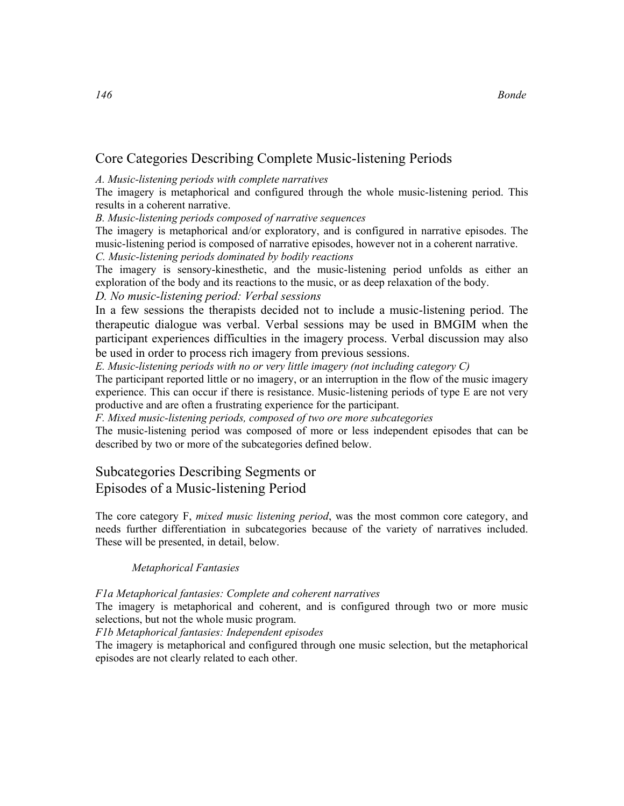## Core Categories Describing Complete Music-listening Periods

#### A. Music-listening periods with complete narratives

The imagery is metaphorical and configured through the whole music-listening period. This results in a coherent narrative.

B. Music-listening periods composed of narrative sequences

The imagery is metaphorical and/or exploratory, and is configured in narrative episodes. The music-listening period is composed of narrative episodes, however not in a coherent narrative.

C. Music-listening periods dominated by bodily reactions

The imagery is sensory-kinesthetic, and the music-listening period unfolds as either an exploration of the body and its reactions to the music, or as deep relaxation of the body.

## D. No music-listening period: Verbal sessions

In a few sessions the therapists decided not to include a music-listening period. The therapeutic dialogue was verbal. Verbal sessions may be used in BMGIM when the participant experiences difficulties in the imagery process. Verbal discussion may also be used in order to process rich imagery from previous sessions.

E. Music-listening periods with no or very little imagery (not including category C)

The participant reported little or no imagery, or an interruption in the flow of the music imagery experience. This can occur if there is resistance. Music-listening periods of type E are not very productive and are often a frustrating experience for the participant.

F. Mixed music-listening periods, composed of two ore more subcategories

The music-listening period was composed of more or less independent episodes that can be described by two or more of the subcategories defined below.

## Subcategories Describing Segments or Episodes of a Music-listening Period

The core category F, *mixed music listening period*, was the most common core category, and needs further differentiation in subcategories because of the variety of narratives included. These will be presented, in detail, below.

## Metaphorical Fantasies

F1a Metaphorical fantasies: Complete and coherent narratives

The imagery is metaphorical and coherent, and is configured through two or more music selections, but not the whole music program.

F1b Metaphorical fantasies: Independent episodes

The imagery is metaphorical and configured through one music selection, but the metaphorical episodes are not clearly related to each other.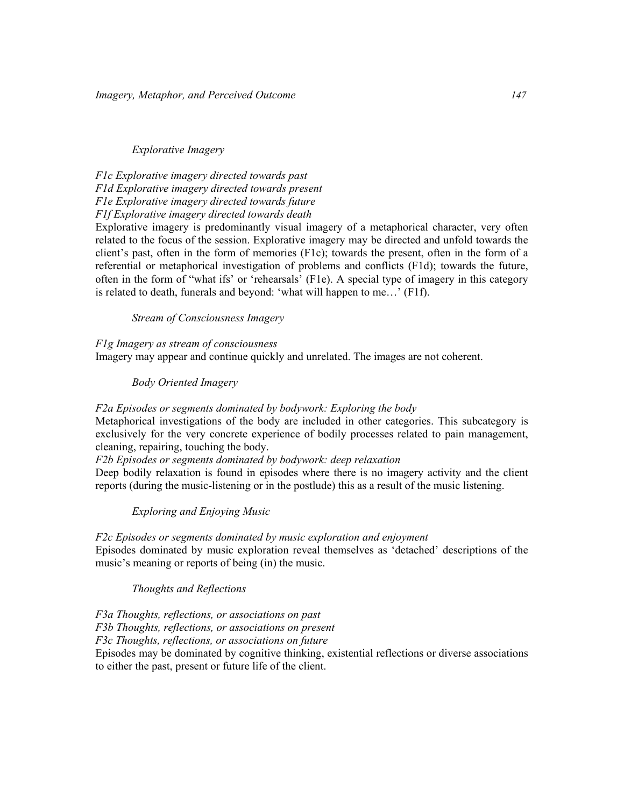Explorative Imagery

F1c Explorative imagery directed towards past F1d Explorative imagery directed towards present F1e Explorative imagery directed towards future F1f Explorative imagery directed towards death

Explorative imagery is predominantly visual imagery of a metaphorical character, very often related to the focus of the session. Explorative imagery may be directed and unfold towards the client's past, often in the form of memories (F1c); towards the present, often in the form of a referential or metaphorical investigation of problems and conflicts (F1d); towards the future, often in the form of "what ifs' or 'rehearsals' (F1e). A special type of imagery in this category is related to death, funerals and beyond: 'what will happen to me…' (F1f).

Stream of Consciousness Imagery

F1g Imagery as stream of consciousness Imagery may appear and continue quickly and unrelated. The images are not coherent.

Body Oriented Imagery

F2a Episodes or segments dominated by bodywork: Exploring the body

Metaphorical investigations of the body are included in other categories. This subcategory is exclusively for the very concrete experience of bodily processes related to pain management, cleaning, repairing, touching the body.

F2b Episodes or segments dominated by bodywork: deep relaxation

Deep bodily relaxation is found in episodes where there is no imagery activity and the client reports (during the music-listening or in the postlude) this as a result of the music listening.

Exploring and Enjoying Music

F2c Episodes or segments dominated by music exploration and enjoyment Episodes dominated by music exploration reveal themselves as 'detached' descriptions of the music's meaning or reports of being (in) the music.

Thoughts and Reflections

F3a Thoughts, reflections, or associations on past F3b Thoughts, reflections, or associations on present F3c Thoughts, reflections, or associations on future Episodes may be dominated by cognitive thinking, existential reflections or diverse associations to either the past, present or future life of the client.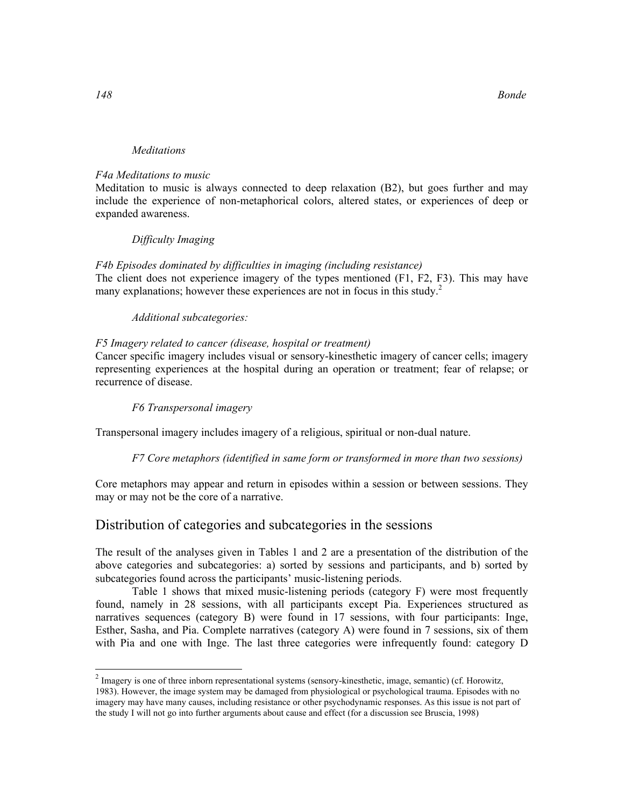#### Meditations

#### F4a Meditations to music

Meditation to music is always connected to deep relaxation (B2), but goes further and may include the experience of non-metaphorical colors, altered states, or experiences of deep or expanded awareness.

#### Difficulty Imaging

#### F4b Episodes dominated by difficulties in imaging (including resistance)

The client does not experience imagery of the types mentioned (F1, F2, F3). This may have many explanations; however these experiences are not in focus in this study.<sup>2</sup>

#### Additional subcategories:

#### F5 Imagery related to cancer (disease, hospital or treatment)

Cancer specific imagery includes visual or sensory-kinesthetic imagery of cancer cells; imagery representing experiences at the hospital during an operation or treatment; fear of relapse; or recurrence of disease.

#### F6 Transpersonal imagery

Transpersonal imagery includes imagery of a religious, spiritual or non-dual nature.

#### F7 Core metaphors (identified in same form or transformed in more than two sessions)

Core metaphors may appear and return in episodes within a session or between sessions. They may or may not be the core of a narrative.

## Distribution of categories and subcategories in the sessions

The result of the analyses given in Tables 1 and 2 are a presentation of the distribution of the above categories and subcategories: a) sorted by sessions and participants, and b) sorted by subcategories found across the participants' music-listening periods.

Table 1 shows that mixed music-listening periods (category F) were most frequently found, namely in 28 sessions, with all participants except Pia. Experiences structured as narratives sequences (category B) were found in 17 sessions, with four participants: Inge, Esther, Sasha, and Pia. Complete narratives (category A) were found in 7 sessions, six of them with Pia and one with Inge. The last three categories were infrequently found: category D

-

 $2 \text{ Image}$  is one of three inborn representational systems (sensory-kinesthetic, image, semantic) (cf. Horowitz, 1983). However, the image system may be damaged from physiological or psychological trauma. Episodes with no imagery may have many causes, including resistance or other psychodynamic responses. As this issue is not part of the study I will not go into further arguments about cause and effect (for a discussion see Bruscia, 1998)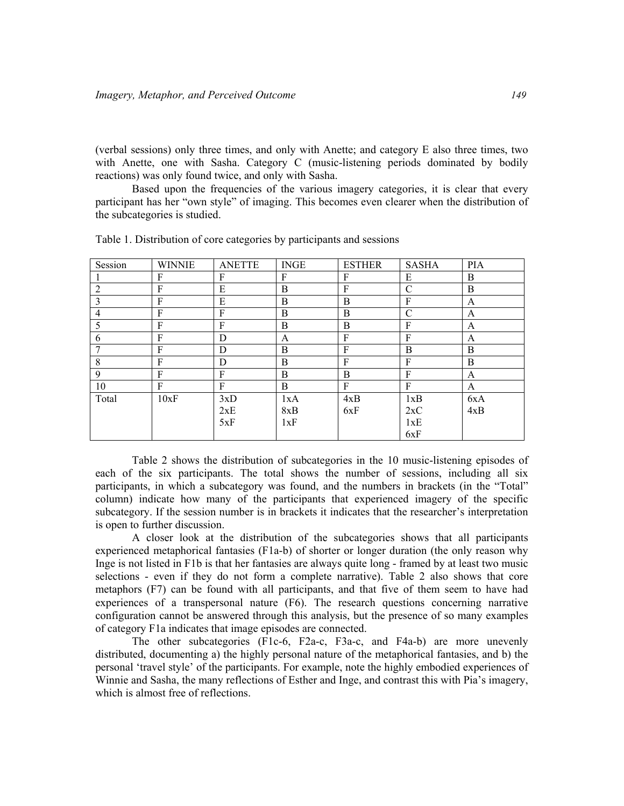(verbal sessions) only three times, and only with Anette; and category E also three times, two with Anette, one with Sasha. Category C (music-listening periods dominated by bodily reactions) was only found twice, and only with Sasha.

Based upon the frequencies of the various imagery categories, it is clear that every participant has her "own style" of imaging. This becomes even clearer when the distribution of the subcategories is studied.

| Session        | <b>WINNIE</b> | <b>ANETTE</b> | <b>INGE</b> | <b>ESTHER</b> | <b>SASHA</b>  | PIA |
|----------------|---------------|---------------|-------------|---------------|---------------|-----|
|                | F             | F             | F           | F             | E             | B   |
| $\overline{2}$ | F             | E             | B           | F             | $\mathcal{C}$ | B   |
| 3              | F             | E             | B           | B             | F             | A   |
| 4              | F             | F             | B           | B             | $\mathcal{C}$ | A   |
| 5              | F             | F             | B           | B             | F             | A   |
| 6              | F             | D             | A           | F             | F             | A   |
|                | F             | D             | B           | F             | B             | B   |
| 8              | F             | D             | B           | F             | F             | B   |
| 9              | F             | F             | B           | B             | F             | A   |
| 10             | F             | F             | B           | F             | F             | A   |
| Total          | 10xF          | 3xD           | 1xA         | 4xB           | 1xB           | 6xA |
|                |               | 2xE           | 8xB         | 6xF           | 2xC           | 4xB |
|                |               | 5xF           | 1xF         |               | 1xE           |     |
|                |               |               |             |               | 6xF           |     |

Table 1. Distribution of core categories by participants and sessions

Table 2 shows the distribution of subcategories in the 10 music-listening episodes of each of the six participants. The total shows the number of sessions, including all six participants, in which a subcategory was found, and the numbers in brackets (in the "Total" column) indicate how many of the participants that experienced imagery of the specific subcategory. If the session number is in brackets it indicates that the researcher's interpretation is open to further discussion.

A closer look at the distribution of the subcategories shows that all participants experienced metaphorical fantasies (F1a-b) of shorter or longer duration (the only reason why Inge is not listed in F1b is that her fantasies are always quite long - framed by at least two music selections - even if they do not form a complete narrative). Table 2 also shows that core metaphors (F7) can be found with all participants, and that five of them seem to have had experiences of a transpersonal nature (F6). The research questions concerning narrative configuration cannot be answered through this analysis, but the presence of so many examples of category F1a indicates that image episodes are connected.

The other subcategories (F1c-6, F2a-c, F3a-c, and F4a-b) are more unevenly distributed, documenting a) the highly personal nature of the metaphorical fantasies, and b) the personal 'travel style' of the participants. For example, note the highly embodied experiences of Winnie and Sasha, the many reflections of Esther and Inge, and contrast this with Pia's imagery, which is almost free of reflections.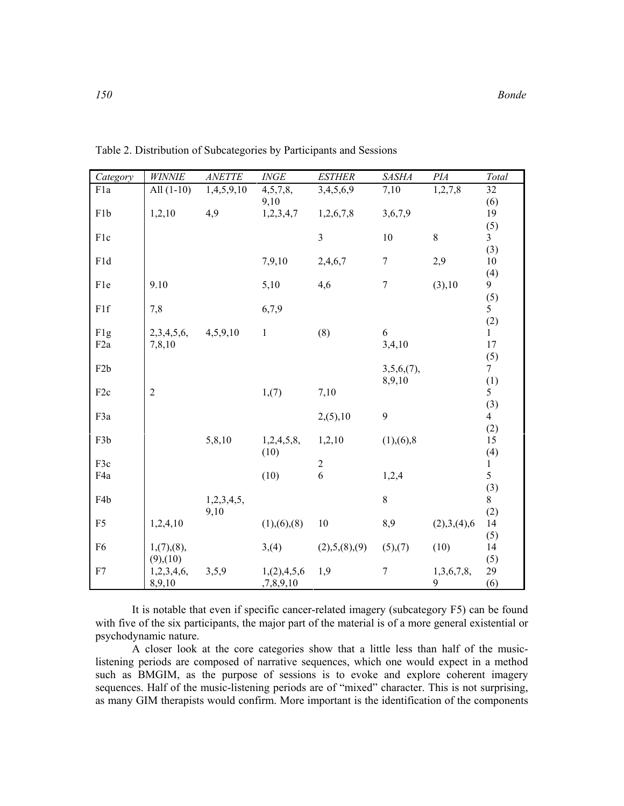| Category         | <b>WINNIE</b>  | ANETTE     | $\it{INGE}$     | <b>ESTHER</b>    | <b>SASHA</b>   | PIA         | Total                 |
|------------------|----------------|------------|-----------------|------------------|----------------|-------------|-----------------------|
| F1a              | All $(1-10)$   | 1,4,5,9,10 | 4,5,7,8,        | 3,4,5,6,9        | 7,10           | 1,2,7,8     | 32                    |
|                  |                |            | 9,10            |                  |                |             | (6)                   |
| F <sub>1</sub> b | 1,2,10         | 4,9        | 1,2,3,4,7       | 1,2,6,7,8        | 3,6,7,9        |             | 19                    |
| F1c              |                |            |                 | $\overline{3}$   | 10             | 8           | (5)<br>$\overline{3}$ |
|                  |                |            |                 |                  |                |             | (3)                   |
| F1d              |                |            | 7,9,10          | 2,4,6,7          | $\overline{7}$ | 2,9         | 10                    |
|                  |                |            |                 |                  |                |             | (4)                   |
| F1e              | 9.10           |            | 5,10            | 4,6              | $\overline{7}$ | (3), 10     | 9                     |
|                  |                |            |                 |                  |                |             | (5)                   |
| F1f              | 7,8            |            | 6,7,9           |                  |                |             | 5                     |
|                  |                |            |                 |                  |                |             | (2)                   |
| F <sub>1g</sub>  | 2,3,4,5,6,     | 4,5,9,10   | $\mathbf{1}$    | (8)              | 6              |             | $\mathbf{1}$          |
| F <sub>2</sub> a | 7,8,10         |            |                 |                  | 3,4,10         |             | 17                    |
| F <sub>2</sub> b |                |            |                 |                  | $3,5,6,(7)$ ,  |             | (5)<br>7 <sup>7</sup> |
|                  |                |            |                 |                  | 8,9,10         |             | (1)                   |
| F <sub>2c</sub>  | $\overline{2}$ |            | 1, (7)          | 7,10             |                |             | 5 <sup>1</sup>        |
|                  |                |            |                 |                  |                |             | (3)                   |
| F3a              |                |            |                 | $2(5)$ , 10      | 9              |             | $\overline{4}$        |
|                  |                |            |                 |                  |                |             | (2)                   |
| F <sub>3</sub> b |                | 5,8,10     | 1,2,4,5,8,      | 1,2,10           | (1), (6), 8    |             | 15                    |
|                  |                |            | (10)            |                  |                |             | (4)                   |
| F3c<br>F4a       |                |            | (10)            | $\sqrt{2}$<br>6  | 1,2,4          |             | $\mathbf{1}$<br>5     |
|                  |                |            |                 |                  |                |             | (3)                   |
| F4b              |                | 1,2,3,4,5, |                 |                  | 8              |             | 8                     |
|                  |                | 9,10       |                 |                  |                |             | (2)                   |
| F <sub>5</sub>   | 1,2,4,10       |            | (1), (6), (8)   | 10               | 8,9            | (2),3,(4),6 | 14                    |
|                  |                |            |                 |                  |                |             | (5)                   |
| F <sub>6</sub>   | 1, (7), (8),   |            | 3, (4)          | (2), 5, (8), (9) | (5),(7)        | (10)        | 14                    |
|                  | $(9)$ , $(10)$ |            |                 |                  |                |             | (5)                   |
| F7               | 1,2,3,4,6,     | 3,5,9      | 1, (2), 4, 5, 6 | 1,9              | $\tau$         | 1,3,6,7,8,  | 29                    |
|                  | 8,9,10         |            | ,7,8,9,10       |                  |                | 9           | (6)                   |

Table 2. Distribution of Subcategories by Participants and Sessions

It is notable that even if specific cancer-related imagery (subcategory F5) can be found with five of the six participants, the major part of the material is of a more general existential or psychodynamic nature.

A closer look at the core categories show that a little less than half of the musiclistening periods are composed of narrative sequences, which one would expect in a method such as BMGIM, as the purpose of sessions is to evoke and explore coherent imagery sequences. Half of the music-listening periods are of "mixed" character. This is not surprising, as many GIM therapists would confirm. More important is the identification of the components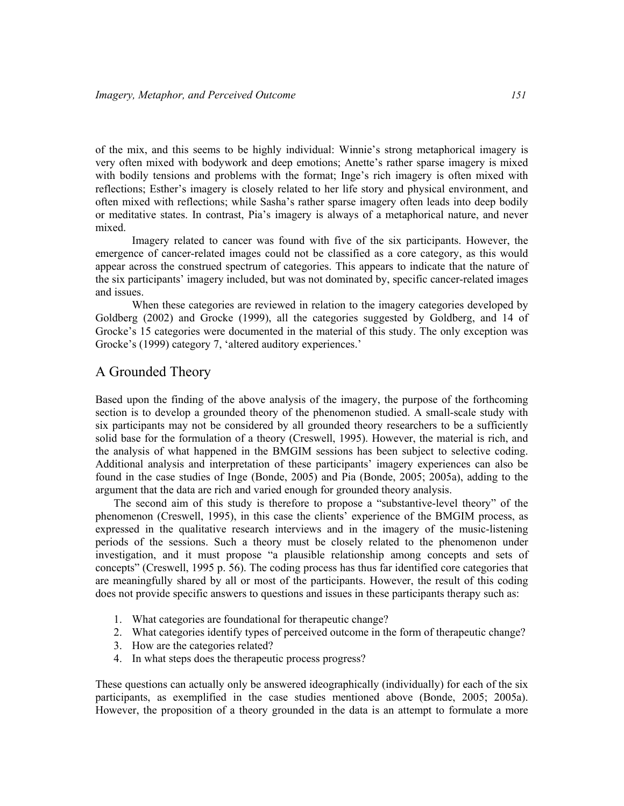of the mix, and this seems to be highly individual: Winnie's strong metaphorical imagery is very often mixed with bodywork and deep emotions; Anette's rather sparse imagery is mixed with bodily tensions and problems with the format; Inge's rich imagery is often mixed with reflections; Esther's imagery is closely related to her life story and physical environment, and often mixed with reflections; while Sasha's rather sparse imagery often leads into deep bodily or meditative states. In contrast, Pia's imagery is always of a metaphorical nature, and never mixed.

Imagery related to cancer was found with five of the six participants. However, the emergence of cancer-related images could not be classified as a core category, as this would appear across the construed spectrum of categories. This appears to indicate that the nature of the six participants' imagery included, but was not dominated by, specific cancer-related images and issues.

When these categories are reviewed in relation to the imagery categories developed by Goldberg (2002) and Grocke (1999), all the categories suggested by Goldberg, and 14 of Grocke's 15 categories were documented in the material of this study. The only exception was Grocke's (1999) category 7, 'altered auditory experiences.'

## A Grounded Theory

Based upon the finding of the above analysis of the imagery, the purpose of the forthcoming section is to develop a grounded theory of the phenomenon studied. A small-scale study with six participants may not be considered by all grounded theory researchers to be a sufficiently solid base for the formulation of a theory (Creswell, 1995). However, the material is rich, and the analysis of what happened in the BMGIM sessions has been subject to selective coding. Additional analysis and interpretation of these participants' imagery experiences can also be found in the case studies of Inge (Bonde, 2005) and Pia (Bonde, 2005; 2005a), adding to the argument that the data are rich and varied enough for grounded theory analysis.

The second aim of this study is therefore to propose a "substantive-level theory" of the phenomenon (Creswell, 1995), in this case the clients' experience of the BMGIM process, as expressed in the qualitative research interviews and in the imagery of the music-listening periods of the sessions. Such a theory must be closely related to the phenomenon under investigation, and it must propose "a plausible relationship among concepts and sets of concepts" (Creswell, 1995 p. 56). The coding process has thus far identified core categories that are meaningfully shared by all or most of the participants. However, the result of this coding does not provide specific answers to questions and issues in these participants therapy such as:

- 1. What categories are foundational for therapeutic change?
- 2. What categories identify types of perceived outcome in the form of therapeutic change?
- 3. How are the categories related?
- 4. In what steps does the therapeutic process progress?

These questions can actually only be answered ideographically (individually) for each of the six participants, as exemplified in the case studies mentioned above (Bonde, 2005; 2005a). However, the proposition of a theory grounded in the data is an attempt to formulate a more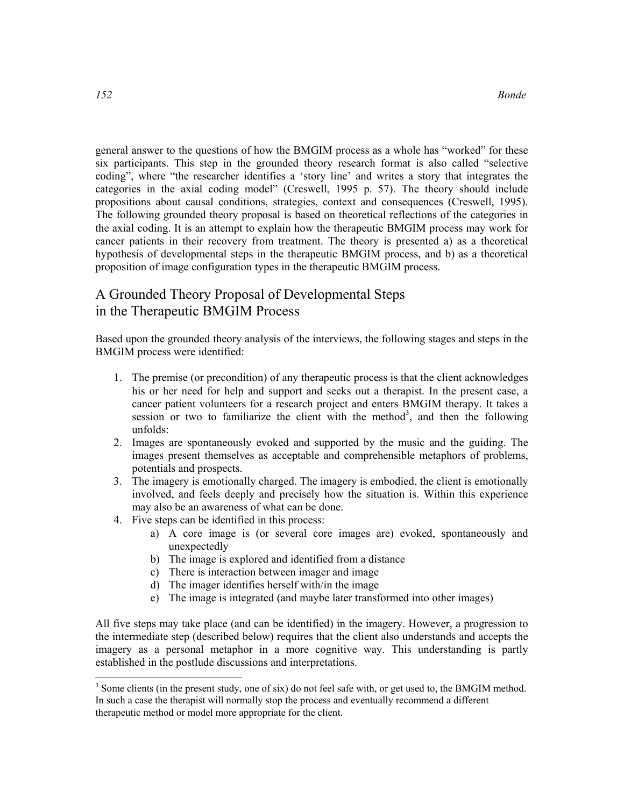general answer to the questions of how the BMGIM process as a whole has "worked" for these six participants. This step in the grounded theory research format is also called "selective coding", where "the researcher identifies a 'story line' and writes a story that integrates the categories in the axial coding model" (Creswell, 1995 p. 57). The theory should include propositions about causal conditions, strategies, context and consequences (Creswell, 1995). The following grounded theory proposal is based on theoretical reflections of the categories in the axial coding. It is an attempt to explain how the therapeutic BMGIM process may work for cancer patients in their recovery from treatment. The theory is presented a) as a theoretical hypothesis of developmental steps in the therapeutic BMGIM process, and b) as a theoretical proposition of image configuration types in the therapeutic BMGIM process.

## A Grounded Theory Proposal of Developmental Steps in the Therapeutic BMGIM Process

Based upon the grounded theory analysis of the interviews, the following stages and steps in the BMGIM process were identified:

- 1. The premise (or precondition) of any therapeutic process is that the client acknowledges his or her need for help and support and seeks out a therapist. In the present case, a cancer patient volunteers for a research project and enters BMGIM therapy. It takes a session or two to familiarize the client with the method<sup>3</sup>, and then the following unfolds:
- 2. Images are spontaneously evoked and supported by the music and the guiding. The images present themselves as acceptable and comprehensible metaphors of problems, potentials and prospects.
- 3. The imagery is emotionally charged. The imagery is embodied, the client is emotionally involved, and feels deeply and precisely how the situation is. Within this experience may also be an awareness of what can be done.
- 4. Five steps can be identified in this process:
	- a) A core image is (or several core images are) evoked, spontaneously and unexpectedly
	- b) The image is explored and identified from a distance
	- c) There is interaction between imager and image
	- d) The imager identifies herself with/in the image
	- e) The image is integrated (and maybe later transformed into other images)

All five steps may take place (and can be identified) in the imagery. However, a progression to the intermediate step (described below) requires that the client also understands and accepts the imagery as a personal metaphor in a more cognitive way. This understanding is partly established in the postlude discussions and interpretations.

-

<sup>&</sup>lt;sup>3</sup> Some clients (in the present study, one of six) do not feel safe with, or get used to, the BMGIM method. In such a case the therapist will normally stop the process and eventually recommend a different therapeutic method or model more appropriate for the client.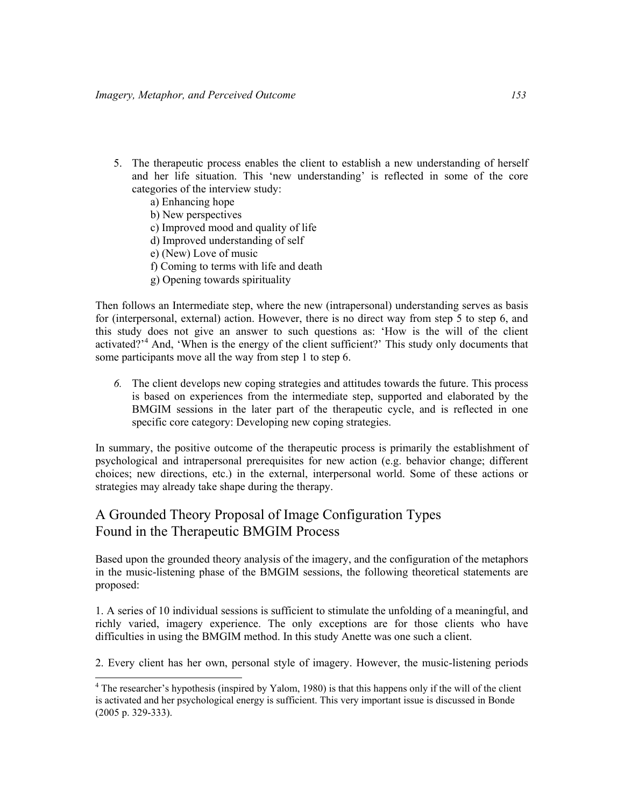- 5. The therapeutic process enables the client to establish a new understanding of herself and her life situation. This 'new understanding' is reflected in some of the core categories of the interview study:
	- a) Enhancing hope

-

- b) New perspectives
- c) Improved mood and quality of life
- d) Improved understanding of self
- e) (New) Love of music
- f) Coming to terms with life and death
- g) Opening towards spirituality

Then follows an Intermediate step, where the new (intrapersonal) understanding serves as basis for (interpersonal, external) action. However, there is no direct way from step 5 to step 6, and this study does not give an answer to such questions as: 'How is the will of the client activated?<sup>4</sup> And, 'When is the energy of the client sufficient?' This study only documents that some participants move all the way from step 1 to step 6.

6. The client develops new coping strategies and attitudes towards the future. This process is based on experiences from the intermediate step, supported and elaborated by the BMGIM sessions in the later part of the therapeutic cycle, and is reflected in one specific core category: Developing new coping strategies.

In summary, the positive outcome of the therapeutic process is primarily the establishment of psychological and intrapersonal prerequisites for new action (e.g. behavior change; different choices; new directions, etc.) in the external, interpersonal world. Some of these actions or strategies may already take shape during the therapy.

## A Grounded Theory Proposal of Image Configuration Types Found in the Therapeutic BMGIM Process

Based upon the grounded theory analysis of the imagery, and the configuration of the metaphors in the music-listening phase of the BMGIM sessions, the following theoretical statements are proposed:

1. A series of 10 individual sessions is sufficient to stimulate the unfolding of a meaningful, and richly varied, imagery experience. The only exceptions are for those clients who have difficulties in using the BMGIM method. In this study Anette was one such a client.

2. Every client has her own, personal style of imagery. However, the music-listening periods

<sup>&</sup>lt;sup>4</sup> The researcher's hypothesis (inspired by Yalom, 1980) is that this happens only if the will of the client is activated and her psychological energy is sufficient. This very important issue is discussed in Bonde (2005 p. 329-333).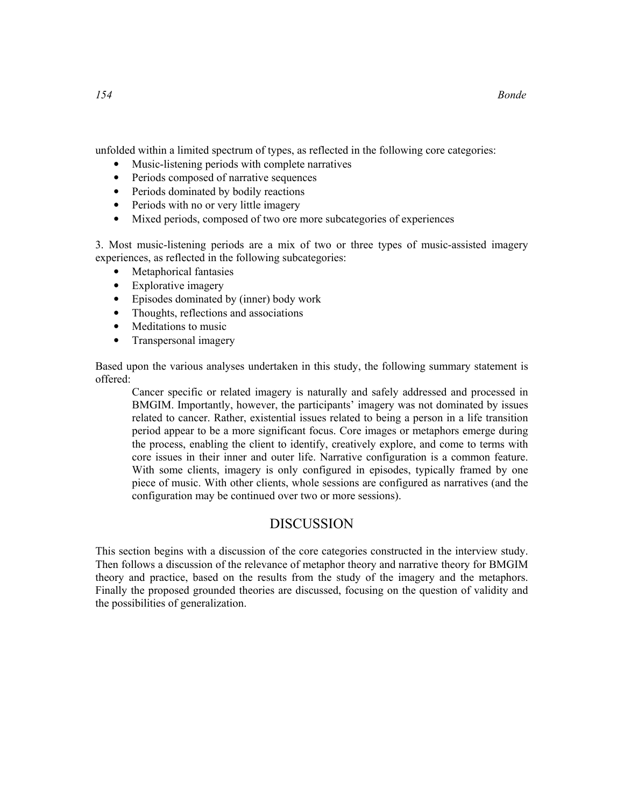unfolded within a limited spectrum of types, as reflected in the following core categories:

- Music-listening periods with complete narratives
- Periods composed of narrative sequences
- Periods dominated by bodily reactions
- Periods with no or very little imagery
- Mixed periods, composed of two ore more subcategories of experiences

3. Most music-listening periods are a mix of two or three types of music-assisted imagery experiences, as reflected in the following subcategories:

- Metaphorical fantasies
- Explorative imagery
- Episodes dominated by (inner) body work
- Thoughts, reflections and associations
- Meditations to music
- Transpersonal imagery

Based upon the various analyses undertaken in this study, the following summary statement is offered:

Cancer specific or related imagery is naturally and safely addressed and processed in BMGIM. Importantly, however, the participants' imagery was not dominated by issues related to cancer. Rather, existential issues related to being a person in a life transition period appear to be a more significant focus. Core images or metaphors emerge during the process, enabling the client to identify, creatively explore, and come to terms with core issues in their inner and outer life. Narrative configuration is a common feature. With some clients, imagery is only configured in episodes, typically framed by one piece of music. With other clients, whole sessions are configured as narratives (and the configuration may be continued over two or more sessions).

## DISCUSSION

This section begins with a discussion of the core categories constructed in the interview study. Then follows a discussion of the relevance of metaphor theory and narrative theory for BMGIM theory and practice, based on the results from the study of the imagery and the metaphors. Finally the proposed grounded theories are discussed, focusing on the question of validity and the possibilities of generalization.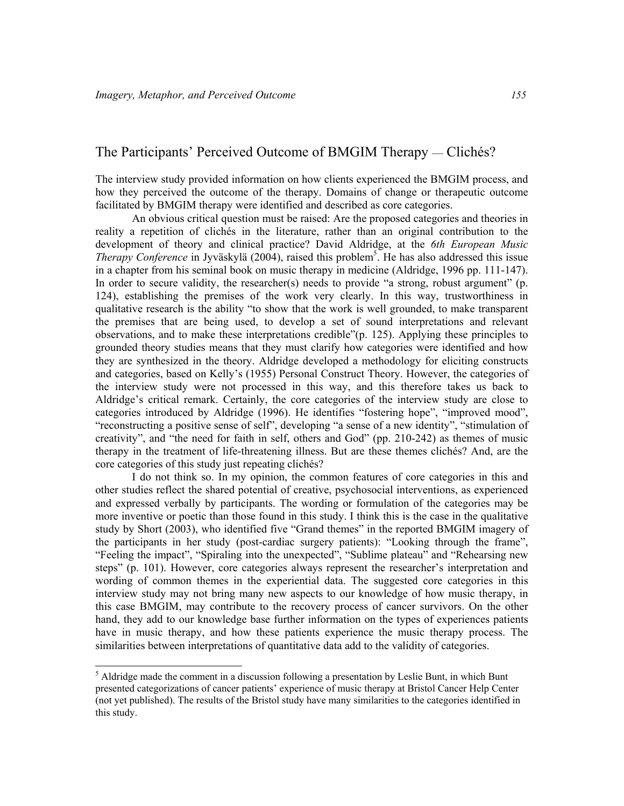-

## The Participants' Perceived Outcome of BMGIM Therapy — Clichés?

The interview study provided information on how clients experienced the BMGIM process, and how they perceived the outcome of the therapy. Domains of change or therapeutic outcome facilitated by BMGIM therapy were identified and described as core categories.

An obvious critical question must be raised: Are the proposed categories and theories in reality a repetition of clichés in the literature, rather than an original contribution to the development of theory and clinical practice? David Aldridge, at the 6th European Music Therapy Conference in Jyväskylä (2004), raised this problem<sup>5</sup>. He has also addressed this issue in a chapter from his seminal book on music therapy in medicine (Aldridge, 1996 pp. 111-147). In order to secure validity, the researcher(s) needs to provide "a strong, robust argument" (p. 124), establishing the premises of the work very clearly. In this way, trustworthiness in qualitative research is the ability "to show that the work is well grounded, to make transparent the premises that are being used, to develop a set of sound interpretations and relevant observations, and to make these interpretations credible"(p. 125). Applying these principles to grounded theory studies means that they must clarify how categories were identified and how they are synthesized in the theory. Aldridge developed a methodology for eliciting constructs and categories, based on Kelly's (1955) Personal Construct Theory. However, the categories of the interview study were not processed in this way, and this therefore takes us back to Aldridge's critical remark. Certainly, the core categories of the interview study are close to categories introduced by Aldridge (1996). He identifies "fostering hope", "improved mood", "reconstructing a positive sense of self", developing "a sense of a new identity", "stimulation of creativity", and "the need for faith in self, others and God" (pp. 210-242) as themes of music therapy in the treatment of life-threatening illness. But are these themes clichés? And, are the core categories of this study just repeating clichés?

I do not think so. In my opinion, the common features of core categories in this and other studies reflect the shared potential of creative, psychosocial interventions, as experienced and expressed verbally by participants. The wording or formulation of the categories may be more inventive or poetic than those found in this study. I think this is the case in the qualitative study by Short (2003), who identified five "Grand themes" in the reported BMGIM imagery of the participants in her study (post-cardiac surgery patients): "Looking through the frame", "Feeling the impact", "Spiraling into the unexpected", "Sublime plateau" and "Rehearsing new steps" (p. 101). However, core categories always represent the researcher's interpretation and wording of common themes in the experiential data. The suggested core categories in this interview study may not bring many new aspects to our knowledge of how music therapy, in this case BMGIM, may contribute to the recovery process of cancer survivors. On the other hand, they add to our knowledge base further information on the types of experiences patients have in music therapy, and how these patients experience the music therapy process. The similarities between interpretations of quantitative data add to the validity of categories.

<sup>&</sup>lt;sup>5</sup> Aldridge made the comment in a discussion following a presentation by Leslie Bunt, in which Bunt presented categorizations of cancer patients' experience of music therapy at Bristol Cancer Help Center (not yet published). The results of the Bristol study have many similarities to the categories identified in this study.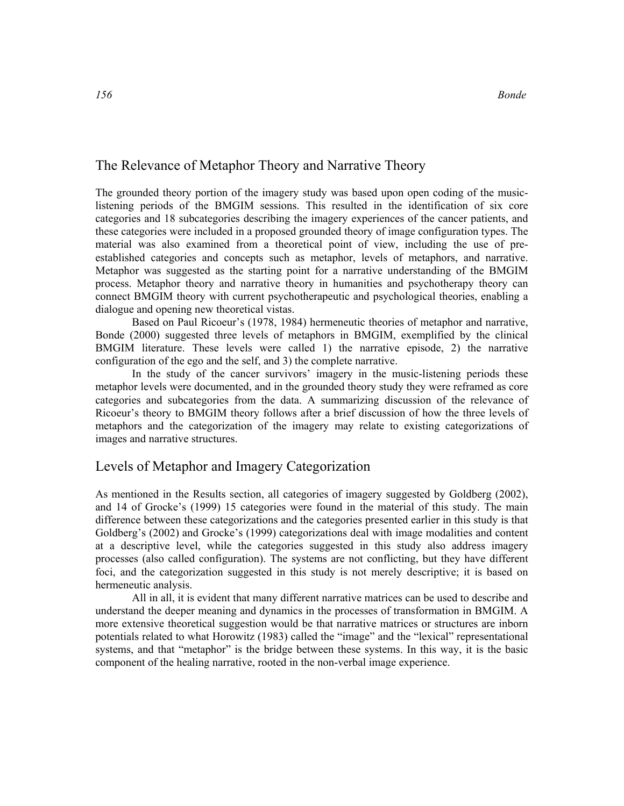## The Relevance of Metaphor Theory and Narrative Theory

The grounded theory portion of the imagery study was based upon open coding of the musiclistening periods of the BMGIM sessions. This resulted in the identification of six core categories and 18 subcategories describing the imagery experiences of the cancer patients, and these categories were included in a proposed grounded theory of image configuration types. The material was also examined from a theoretical point of view, including the use of preestablished categories and concepts such as metaphor, levels of metaphors, and narrative. Metaphor was suggested as the starting point for a narrative understanding of the BMGIM process. Metaphor theory and narrative theory in humanities and psychotherapy theory can connect BMGIM theory with current psychotherapeutic and psychological theories, enabling a dialogue and opening new theoretical vistas.

Based on Paul Ricoeur's (1978, 1984) hermeneutic theories of metaphor and narrative, Bonde (2000) suggested three levels of metaphors in BMGIM, exemplified by the clinical BMGIM literature. These levels were called 1) the narrative episode, 2) the narrative configuration of the ego and the self, and 3) the complete narrative.

In the study of the cancer survivors' imagery in the music-listening periods these metaphor levels were documented, and in the grounded theory study they were reframed as core categories and subcategories from the data. A summarizing discussion of the relevance of Ricoeur's theory to BMGIM theory follows after a brief discussion of how the three levels of metaphors and the categorization of the imagery may relate to existing categorizations of images and narrative structures.

## Levels of Metaphor and Imagery Categorization

As mentioned in the Results section, all categories of imagery suggested by Goldberg (2002), and 14 of Grocke's (1999) 15 categories were found in the material of this study. The main difference between these categorizations and the categories presented earlier in this study is that Goldberg's (2002) and Grocke's (1999) categorizations deal with image modalities and content at a descriptive level, while the categories suggested in this study also address imagery processes (also called configuration). The systems are not conflicting, but they have different foci, and the categorization suggested in this study is not merely descriptive; it is based on hermeneutic analysis.

All in all, it is evident that many different narrative matrices can be used to describe and understand the deeper meaning and dynamics in the processes of transformation in BMGIM. A more extensive theoretical suggestion would be that narrative matrices or structures are inborn potentials related to what Horowitz (1983) called the "image" and the "lexical" representational systems, and that "metaphor" is the bridge between these systems. In this way, it is the basic component of the healing narrative, rooted in the non-verbal image experience.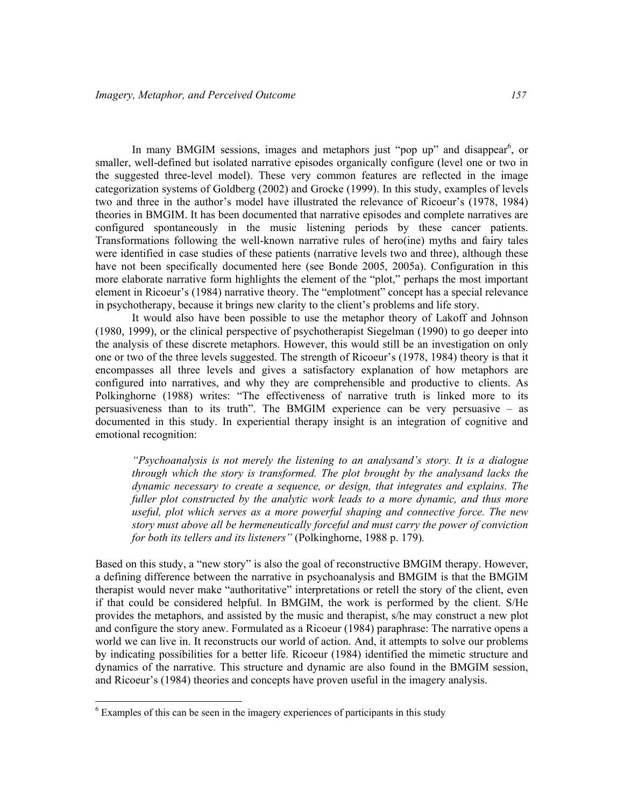In many BMGIM sessions, images and metaphors just "pop up" and disappear<sup>6</sup>, or smaller, well-defined but isolated narrative episodes organically configure (level one or two in the suggested three-level model). These very common features are reflected in the image categorization systems of Goldberg (2002) and Grocke (1999). In this study, examples of levels two and three in the author's model have illustrated the relevance of Ricoeur's (1978, 1984) theories in BMGIM. It has been documented that narrative episodes and complete narratives are configured spontaneously in the music listening periods by these cancer patients. Transformations following the well-known narrative rules of hero(ine) myths and fairy tales were identified in case studies of these patients (narrative levels two and three), although these have not been specifically documented here (see Bonde 2005, 2005a). Configuration in this more elaborate narrative form highlights the element of the "plot," perhaps the most important element in Ricoeur's (1984) narrative theory. The "emplotment" concept has a special relevance in psychotherapy, because it brings new clarity to the client's problems and life story.

It would also have been possible to use the metaphor theory of Lakoff and Johnson (1980, 1999), or the clinical perspective of psychotherapist Siegelman (1990) to go deeper into the analysis of these discrete metaphors. However, this would still be an investigation on only one or two of the three levels suggested. The strength of Ricoeur's (1978, 1984) theory is that it encompasses all three levels and gives a satisfactory explanation of how metaphors are configured into narratives, and why they are comprehensible and productive to clients. As Polkinghorne (1988) writes: "The effectiveness of narrative truth is linked more to its persuasiveness than to its truth". The BMGIM experience can be very persuasive – as documented in this study. In experiential therapy insight is an integration of cognitive and emotional recognition:

"Psychoanalysis is not merely the listening to an analysand's story. It is a dialogue through which the story is transformed. The plot brought by the analysand lacks the dynamic necessary to create a sequence, or design, that integrates and explains. The fuller plot constructed by the analytic work leads to a more dynamic, and thus more useful, plot which serves as a more powerful shaping and connective force. The new story must above all be hermeneutically forceful and must carry the power of conviction for both its tellers and its listeners" (Polkinghorne, 1988 p. 179).

Based on this study, a "new story" is also the goal of reconstructive BMGIM therapy. However, a defining difference between the narrative in psychoanalysis and BMGIM is that the BMGIM therapist would never make "authoritative" interpretations or retell the story of the client, even if that could be considered helpful. In BMGIM, the work is performed by the client. S/He provides the metaphors, and assisted by the music and therapist, s/he may construct a new plot and configure the story anew. Formulated as a Ricoeur (1984) paraphrase: The narrative opens a world we can live in. It reconstructs our world of action. And, it attempts to solve our problems by indicating possibilities for a better life. Ricoeur (1984) identified the mimetic structure and dynamics of the narrative. This structure and dynamic are also found in the BMGIM session, and Ricoeur's (1984) theories and concepts have proven useful in the imagery analysis.

-

<sup>&</sup>lt;sup>6</sup> Examples of this can be seen in the imagery experiences of participants in this study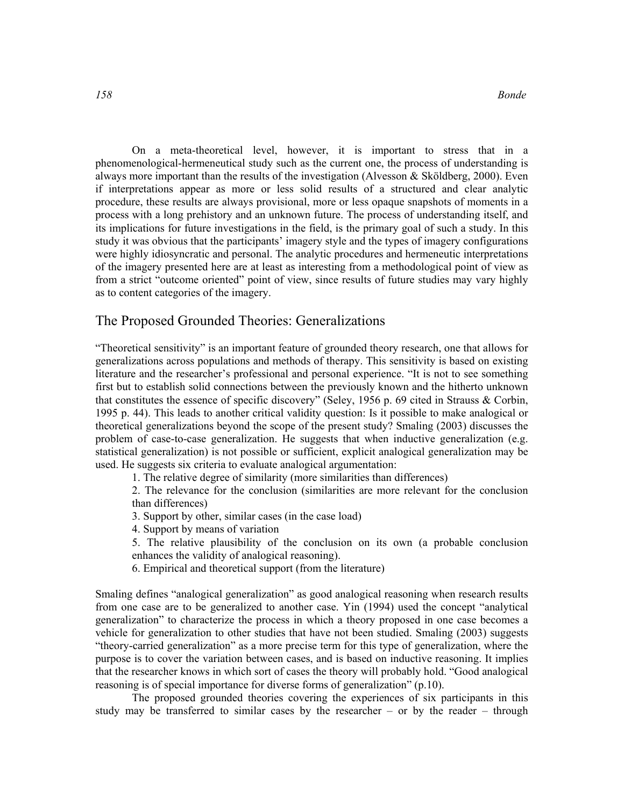On a meta-theoretical level, however, it is important to stress that in a phenomenological-hermeneutical study such as the current one, the process of understanding is always more important than the results of the investigation (Alvesson & Sköldberg, 2000). Even if interpretations appear as more or less solid results of a structured and clear analytic procedure, these results are always provisional, more or less opaque snapshots of moments in a process with a long prehistory and an unknown future. The process of understanding itself, and its implications for future investigations in the field, is the primary goal of such a study. In this study it was obvious that the participants' imagery style and the types of imagery configurations were highly idiosyncratic and personal. The analytic procedures and hermeneutic interpretations of the imagery presented here are at least as interesting from a methodological point of view as from a strict "outcome oriented" point of view, since results of future studies may vary highly as to content categories of the imagery.

## The Proposed Grounded Theories: Generalizations

"Theoretical sensitivity" is an important feature of grounded theory research, one that allows for generalizations across populations and methods of therapy. This sensitivity is based on existing literature and the researcher's professional and personal experience. "It is not to see something first but to establish solid connections between the previously known and the hitherto unknown that constitutes the essence of specific discovery" (Seley, 1956 p. 69 cited in Strauss & Corbin, 1995 p. 44). This leads to another critical validity question: Is it possible to make analogical or theoretical generalizations beyond the scope of the present study? Smaling (2003) discusses the problem of case-to-case generalization. He suggests that when inductive generalization (e.g. statistical generalization) is not possible or sufficient, explicit analogical generalization may be used. He suggests six criteria to evaluate analogical argumentation:

1. The relative degree of similarity (more similarities than differences)

2. The relevance for the conclusion (similarities are more relevant for the conclusion than differences)

3. Support by other, similar cases (in the case load)

4. Support by means of variation

5. The relative plausibility of the conclusion on its own (a probable conclusion enhances the validity of analogical reasoning).

6. Empirical and theoretical support (from the literature)

Smaling defines "analogical generalization" as good analogical reasoning when research results from one case are to be generalized to another case. Yin (1994) used the concept "analytical generalization" to characterize the process in which a theory proposed in one case becomes a vehicle for generalization to other studies that have not been studied. Smaling (2003) suggests "theory-carried generalization" as a more precise term for this type of generalization, where the purpose is to cover the variation between cases, and is based on inductive reasoning. It implies that the researcher knows in which sort of cases the theory will probably hold. "Good analogical reasoning is of special importance for diverse forms of generalization" (p.10).

The proposed grounded theories covering the experiences of six participants in this study may be transferred to similar cases by the researcher – or by the reader – through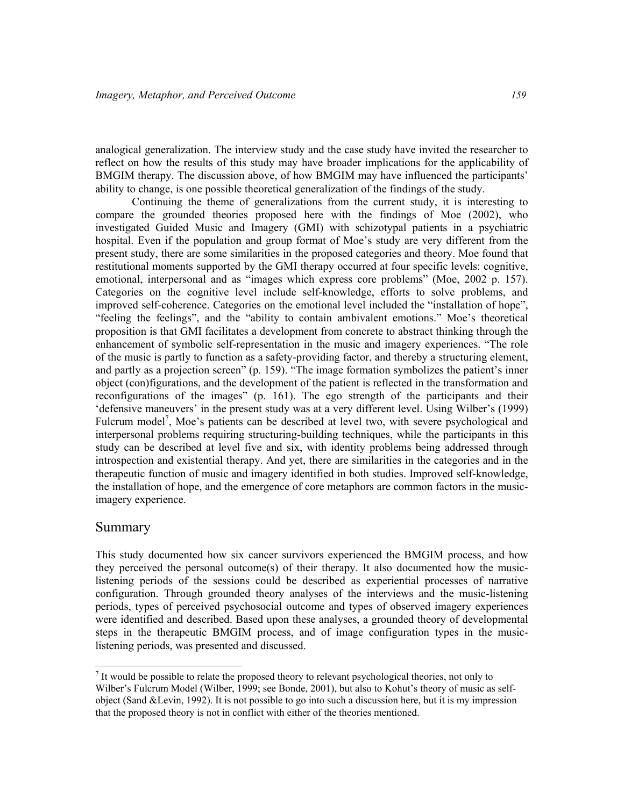analogical generalization. The interview study and the case study have invited the researcher to reflect on how the results of this study may have broader implications for the applicability of BMGIM therapy. The discussion above, of how BMGIM may have influenced the participants' ability to change, is one possible theoretical generalization of the findings of the study.

Continuing the theme of generalizations from the current study, it is interesting to compare the grounded theories proposed here with the findings of Moe (2002), who investigated Guided Music and Imagery (GMI) with schizotypal patients in a psychiatric hospital. Even if the population and group format of Moe's study are very different from the present study, there are some similarities in the proposed categories and theory. Moe found that restitutional moments supported by the GMI therapy occurred at four specific levels: cognitive, emotional, interpersonal and as "images which express core problems" (Moe, 2002 p. 157). Categories on the cognitive level include self-knowledge, efforts to solve problems, and improved self-coherence. Categories on the emotional level included the "installation of hope", "feeling the feelings", and the "ability to contain ambivalent emotions." Moe's theoretical proposition is that GMI facilitates a development from concrete to abstract thinking through the enhancement of symbolic self-representation in the music and imagery experiences. "The role of the music is partly to function as a safety-providing factor, and thereby a structuring element, and partly as a projection screen" (p. 159). "The image formation symbolizes the patient's inner object (con)figurations, and the development of the patient is reflected in the transformation and reconfigurations of the images" (p. 161). The ego strength of the participants and their 'defensive maneuvers' in the present study was at a very different level. Using Wilber's (1999) Fulcrum model<sup>7</sup>, Moe's patients can be described at level two, with severe psychological and interpersonal problems requiring structuring-building techniques, while the participants in this study can be described at level five and six, with identity problems being addressed through introspection and existential therapy. And yet, there are similarities in the categories and in the therapeutic function of music and imagery identified in both studies. Improved self-knowledge, the installation of hope, and the emergence of core metaphors are common factors in the musicimagery experience.

#### Summary

-

This study documented how six cancer survivors experienced the BMGIM process, and how they perceived the personal outcome(s) of their therapy. It also documented how the musiclistening periods of the sessions could be described as experiential processes of narrative configuration. Through grounded theory analyses of the interviews and the music-listening periods, types of perceived psychosocial outcome and types of observed imagery experiences were identified and described. Based upon these analyses, a grounded theory of developmental steps in the therapeutic BMGIM process, and of image configuration types in the musiclistening periods, was presented and discussed.

 $<sup>7</sup>$  It would be possible to relate the proposed theory to relevant psychological theories, not only to</sup> Wilber's Fulcrum Model (Wilber, 1999; see Bonde, 2001), but also to Kohut's theory of music as selfobject (Sand &Levin, 1992). It is not possible to go into such a discussion here, but it is my impression that the proposed theory is not in conflict with either of the theories mentioned.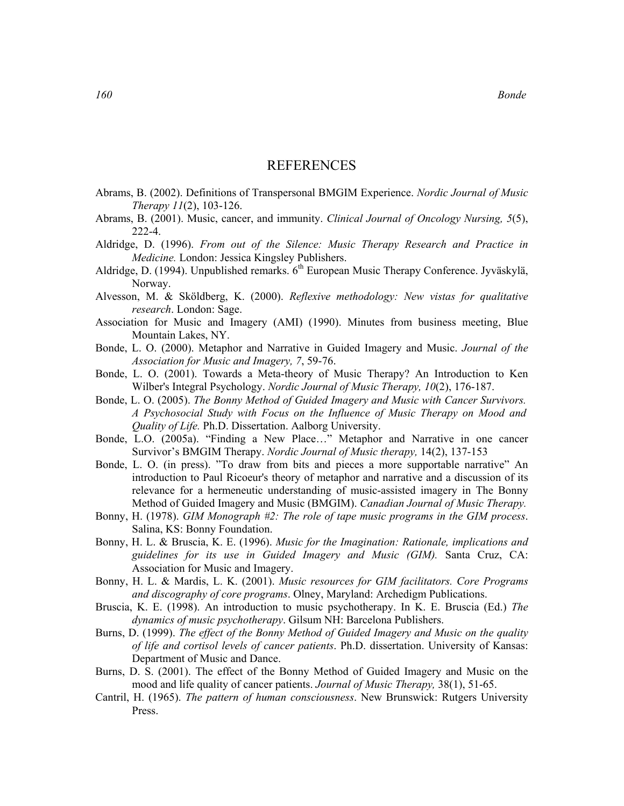#### **REFERENCES**

- Abrams, B. (2002). Definitions of Transpersonal BMGIM Experience. Nordic Journal of Music Therapy 11(2), 103-126.
- Abrams, B. (2001). Music, cancer, and immunity. Clinical Journal of Oncology Nursing, 5(5), 222-4.
- Aldridge, D. (1996). From out of the Silence: Music Therapy Research and Practice in Medicine. London: Jessica Kingsley Publishers.
- Aldridge, D. (1994). Unpublished remarks.  $6<sup>th</sup>$  European Music Therapy Conference. Jyväskylä, Norway.
- Alvesson, M. & Sköldberg, K. (2000). Reflexive methodology: New vistas for qualitative research. London: Sage.
- Association for Music and Imagery (AMI) (1990). Minutes from business meeting, Blue Mountain Lakes, NY.
- Bonde, L. O. (2000). Metaphor and Narrative in Guided Imagery and Music. Journal of the Association for Music and Imagery, 7, 59-76.
- Bonde, L. O. (2001). Towards a Meta-theory of Music Therapy? An Introduction to Ken Wilber's Integral Psychology. Nordic Journal of Music Therapy, 10(2), 176-187.
- Bonde, L. O. (2005). The Bonny Method of Guided Imagery and Music with Cancer Survivors. A Psychosocial Study with Focus on the Influence of Music Therapy on Mood and Quality of Life. Ph.D. Dissertation. Aalborg University.
- Bonde, L.O. (2005a). "Finding a New Place…" Metaphor and Narrative in one cancer Survivor's BMGIM Therapy. Nordic Journal of Music therapy, 14(2), 137-153
- Bonde, L. O. (in press). "To draw from bits and pieces a more supportable narrative" An introduction to Paul Ricoeur's theory of metaphor and narrative and a discussion of its relevance for a hermeneutic understanding of music-assisted imagery in The Bonny Method of Guided Imagery and Music (BMGIM). Canadian Journal of Music Therapy.
- Bonny, H. (1978). GIM Monograph #2: The role of tape music programs in the GIM process. Salina, KS: Bonny Foundation.
- Bonny, H. L. & Bruscia, K. E. (1996). Music for the Imagination: Rationale, implications and guidelines for its use in Guided Imagery and Music (GIM). Santa Cruz, CA: Association for Music and Imagery.
- Bonny, H. L. & Mardis, L. K. (2001). Music resources for GIM facilitators. Core Programs and discography of core programs. Olney, Maryland: Archedigm Publications.
- Bruscia, K. E. (1998). An introduction to music psychotherapy. In K. E. Bruscia (Ed.) The dynamics of music psychotherapy. Gilsum NH: Barcelona Publishers.
- Burns, D. (1999). The effect of the Bonny Method of Guided Imagery and Music on the quality of life and cortisol levels of cancer patients. Ph.D. dissertation. University of Kansas: Department of Music and Dance.
- Burns, D. S. (2001). The effect of the Bonny Method of Guided Imagery and Music on the mood and life quality of cancer patients. Journal of Music Therapy, 38(1), 51-65.
- Cantril, H. (1965). The pattern of human consciousness. New Brunswick: Rutgers University Press.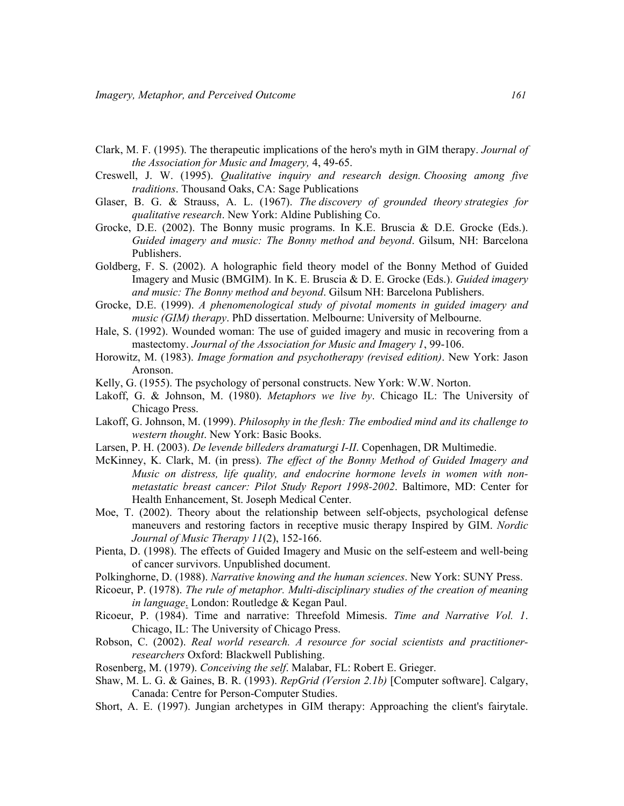- Clark, M. F. (1995). The therapeutic implications of the hero's myth in GIM therapy. Journal of the Association for Music and Imagery, 4, 49-65.
- Creswell, J. W. (1995). Qualitative inquiry and research design. Choosing among five traditions. Thousand Oaks, CA: Sage Publications
- Glaser, B. G. & Strauss, A. L. (1967). The discovery of grounded theory strategies for qualitative research. New York: Aldine Publishing Co.
- Grocke, D.E. (2002). The Bonny music programs. In K.E. Bruscia & D.E. Grocke (Eds.). Guided imagery and music: The Bonny method and beyond. Gilsum, NH: Barcelona Publishers.
- Goldberg, F. S. (2002). A holographic field theory model of the Bonny Method of Guided Imagery and Music (BMGIM). In K. E. Bruscia & D. E. Grocke (Eds.). Guided imagery and music: The Bonny method and beyond. Gilsum NH: Barcelona Publishers.
- Grocke, D.E. (1999). A phenomenological study of pivotal moments in guided imagery and music (GIM) therapy. PhD dissertation. Melbourne: University of Melbourne.
- Hale, S. (1992). Wounded woman: The use of guided imagery and music in recovering from a mastectomy. Journal of the Association for Music and Imagery 1, 99-106.
- Horowitz, M. (1983). Image formation and psychotherapy (revised edition). New York: Jason Aronson.
- Kelly, G. (1955). The psychology of personal constructs. New York: W.W. Norton.
- Lakoff, G. & Johnson, M. (1980). *Metaphors we live by*. Chicago IL: The University of Chicago Press.
- Lakoff, G. Johnson, M. (1999). Philosophy in the flesh: The embodied mind and its challenge to western thought. New York: Basic Books.
- Larsen, P. H. (2003). De levende billeders dramaturgi I-II. Copenhagen, DR Multimedie.
- McKinney, K. Clark, M. (in press). The effect of the Bonny Method of Guided Imagery and Music on distress, life quality, and endocrine hormone levels in women with nonmetastatic breast cancer: Pilot Study Report 1998-2002. Baltimore, MD: Center for Health Enhancement, St. Joseph Medical Center.
- Moe, T. (2002). Theory about the relationship between self-objects, psychological defense maneuvers and restoring factors in receptive music therapy Inspired by GIM. Nordic Journal of Music Therapy 11(2), 152-166.
- Pienta, D. (1998). The effects of Guided Imagery and Music on the self-esteem and well-being of cancer survivors. Unpublished document.
- Polkinghorne, D. (1988). Narrative knowing and the human sciences. New York: SUNY Press.
- Ricoeur, P. (1978). The rule of metaphor. Multi-disciplinary studies of the creation of meaning in language. London: Routledge & Kegan Paul.
- Ricoeur, P. (1984). Time and narrative: Threefold Mimesis. Time and Narrative Vol. 1. Chicago, IL: The University of Chicago Press.
- Robson, C. (2002). Real world research. A resource for social scientists and practitionerresearchers Oxford: Blackwell Publishing.
- Rosenberg, M. (1979). Conceiving the self. Malabar, FL: Robert E. Grieger.
- Shaw, M. L. G. & Gaines, B. R. (1993). RepGrid (Version 2.1b) [Computer software]. Calgary, Canada: Centre for Person-Computer Studies.
- Short, A. E. (1997). Jungian archetypes in GIM therapy: Approaching the client's fairytale.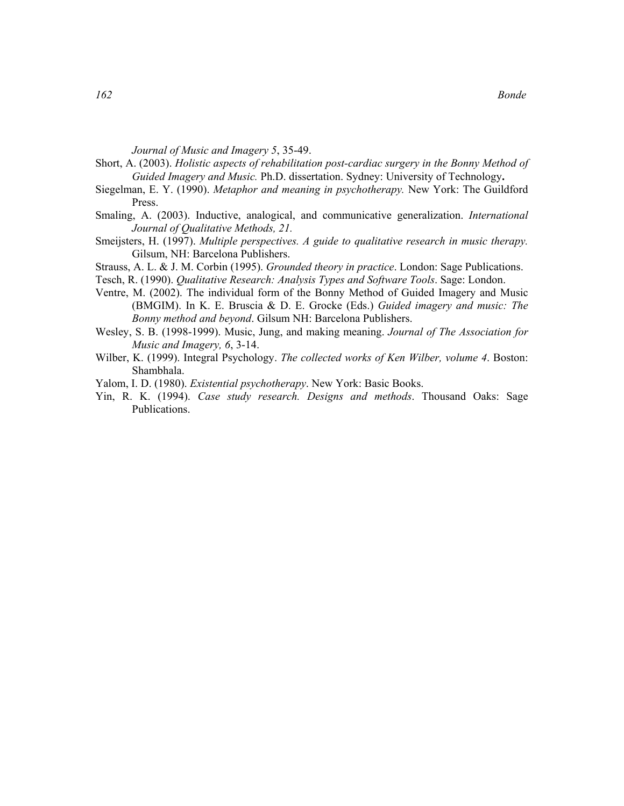Journal of Music and Imagery 5, 35-49.

- Short, A. (2003). Holistic aspects of rehabilitation post-cardiac surgery in the Bonny Method of Guided Imagery and Music. Ph.D. dissertation. Sydney: University of Technology.
- Siegelman, E. Y. (1990). Metaphor and meaning in psychotherapy. New York: The Guildford Press.
- Smaling, A. (2003). Inductive, analogical, and communicative generalization. International Journal of Qualitative Methods, 21.
- Smeijsters, H. (1997). Multiple perspectives. A guide to qualitative research in music therapy. Gilsum, NH: Barcelona Publishers.
- Strauss, A. L. & J. M. Corbin (1995). Grounded theory in practice. London: Sage Publications.

Tesch, R. (1990). Qualitative Research: Analysis Types and Software Tools. Sage: London.

- Ventre, M. (2002). The individual form of the Bonny Method of Guided Imagery and Music (BMGIM). In K. E. Bruscia & D. E. Grocke (Eds.) Guided imagery and music: The Bonny method and beyond. Gilsum NH: Barcelona Publishers.
- Wesley, S. B. (1998-1999). Music, Jung, and making meaning. Journal of The Association for Music and Imagery, 6, 3-14.
- Wilber, K. (1999). Integral Psychology. The collected works of Ken Wilber, volume 4. Boston: Shambhala.
- Yalom, I. D. (1980). *Existential psychotherapy*. New York: Basic Books.
- Yin, R. K. (1994). Case study research. Designs and methods. Thousand Oaks: Sage Publications.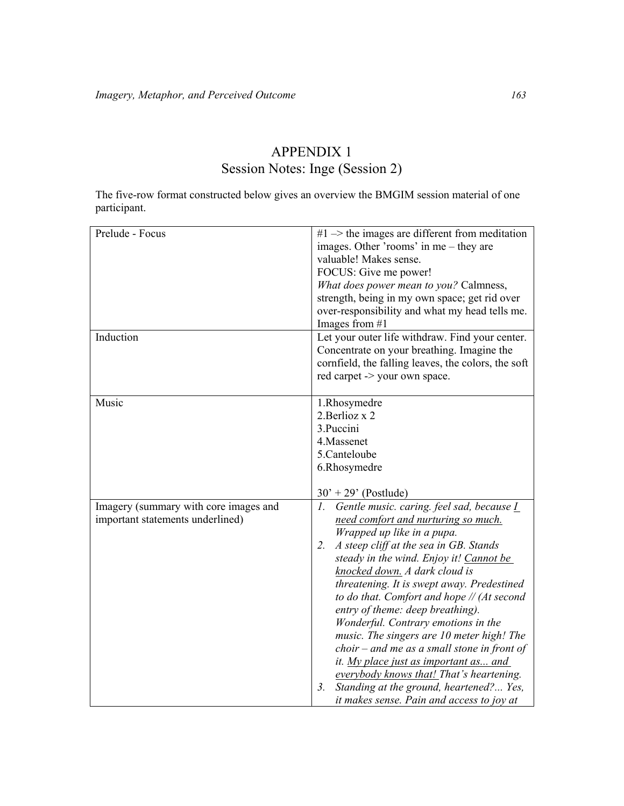## APPENDIX 1 Session Notes: Inge (Session 2)

The five-row format constructed below gives an overview the BMGIM session material of one participant.

| Prelude - Focus                       | $#1$ $\rightarrow$ the images are different from meditation |
|---------------------------------------|-------------------------------------------------------------|
|                                       | images. Other 'rooms' in me – they are                      |
|                                       | valuable! Makes sense.                                      |
|                                       | FOCUS: Give me power!                                       |
|                                       | What does power mean to you? Calmness,                      |
|                                       | strength, being in my own space; get rid over               |
|                                       | over-responsibility and what my head tells me.              |
|                                       | Images from #1                                              |
| Induction                             | Let your outer life withdraw. Find your center.             |
|                                       | Concentrate on your breathing. Imagine the                  |
|                                       | cornfield, the falling leaves, the colors, the soft         |
|                                       |                                                             |
|                                       | red carpet -> your own space.                               |
| Music                                 | 1.Rhosymedre                                                |
|                                       | 2. Berlioz x 2                                              |
|                                       |                                                             |
|                                       | 3. Puccini                                                  |
|                                       | 4. Massenet                                                 |
|                                       | 5.Canteloube                                                |
|                                       | 6.Rhosymedre                                                |
|                                       |                                                             |
|                                       | $30' + 29'$ (Postlude)                                      |
| Imagery (summary with core images and | Gentle music. caring. feel sad, because I<br>$l_{\cdot}$    |
| important statements underlined)      | need comfort and nurturing so much.                         |
|                                       | Wrapped up like in a pupa.                                  |
|                                       | A steep cliff at the sea in GB. Stands<br>2.                |
|                                       | steady in the wind. Enjoy it! Cannot be                     |
|                                       | knocked down. A dark cloud is                               |
|                                       | threatening. It is swept away. Predestined                  |
|                                       | to do that. Comfort and hope // (At second                  |
|                                       | entry of theme: deep breathing).                            |
|                                       | Wonderful. Contrary emotions in the                         |
|                                       | music. The singers are 10 meter high! The                   |
|                                       | $choir - and me as a small stone in front of$               |
|                                       | it. My place just as important as and                       |
|                                       | everybody knows that! That's heartening.                    |
|                                       | Standing at the ground, heartened? Yes,<br>3.               |
|                                       |                                                             |